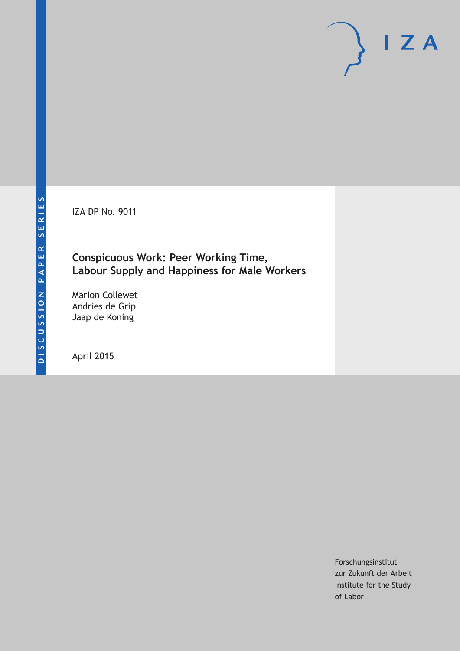IZA DP No. 9011

## **Conspicuous Work: Peer Working Time, Labour Supply and Happiness for Male Workers**

Marion Collewet Andries de Grip Jaap de Koning

April 2015

Forschungsinstitut zur Zukunft der Arbeit Institute for the Study of Labor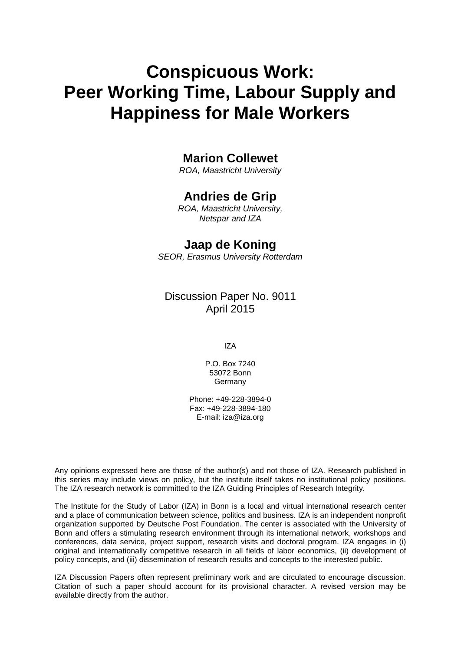# **Conspicuous Work: Peer Working Time, Labour Supply and Happiness for Male Workers**

## **Marion Collewet**

*ROA, Maastricht University*

## **Andries de Grip**

*ROA, Maastricht University, Netspar and IZA*

## **Jaap de Koning**

*SEOR, Erasmus University Rotterdam*

## Discussion Paper No. 9011 April 2015

IZA

P.O. Box 7240 53072 Bonn Germany

Phone: +49-228-3894-0 Fax: +49-228-3894-180 E-mail: iza@iza.org

Any opinions expressed here are those of the author(s) and not those of IZA. Research published in this series may include views on policy, but the institute itself takes no institutional policy positions. The IZA research network is committed to the IZA Guiding Principles of Research Integrity.

The Institute for the Study of Labor (IZA) in Bonn is a local and virtual international research center and a place of communication between science, politics and business. IZA is an independent nonprofit organization supported by Deutsche Post Foundation. The center is associated with the University of Bonn and offers a stimulating research environment through its international network, workshops and conferences, data service, project support, research visits and doctoral program. IZA engages in (i) original and internationally competitive research in all fields of labor economics, (ii) development of policy concepts, and (iii) dissemination of research results and concepts to the interested public.

<span id="page-1-0"></span>IZA Discussion Papers often represent preliminary work and are circulated to encourage discussion. Citation of such a paper should account for its provisional character. A revised version may be available directly from the author.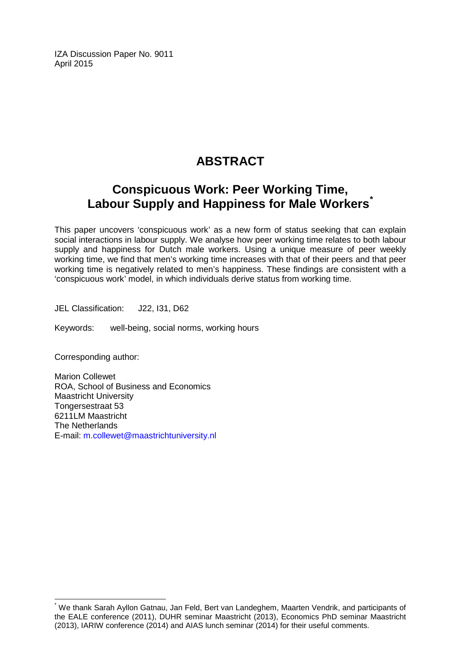IZA Discussion Paper No. 9011 April 2015

## **ABSTRACT**

## **Conspicuous Work: Peer Working Time, Labour Supply and Happiness for Male Workers[\\*](#page-1-0)**

This paper uncovers 'conspicuous work' as a new form of status seeking that can explain social interactions in labour supply. We analyse how peer working time relates to both labour supply and happiness for Dutch male workers. Using a unique measure of peer weekly working time, we find that men's working time increases with that of their peers and that peer working time is negatively related to men's happiness. These findings are consistent with a 'conspicuous work' model, in which individuals derive status from working time.

JEL Classification: J22, I31, D62

Keywords: well-being, social norms, working hours

Corresponding author:

Marion Collewet ROA, School of Business and Economics Maastricht University Tongersestraat 53 6211LM Maastricht The Netherlands E-mail: [m.collewet@maastrichtuniversity.nl](mailto:m.collewet@maastrichtuniversity.nl)

\* We thank Sarah Ayllon Gatnau, Jan Feld, Bert van Landeghem, Maarten Vendrik, and participants of the EALE conference (2011), DUHR seminar Maastricht (2013), Economics PhD seminar Maastricht (2013), IARIW conference (2014) and AIAS lunch seminar (2014) for their useful comments.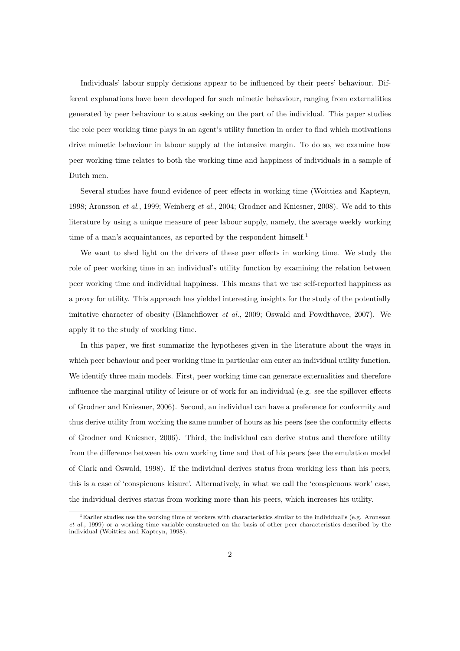Individuals' labour supply decisions appear to be influenced by their peers' behaviour. Different explanations have been developed for such mimetic behaviour, ranging from externalities generated by peer behaviour to status seeking on the part of the individual. This paper studies the role peer working time plays in an agent's utility function in order to find which motivations drive mimetic behaviour in labour supply at the intensive margin. To do so, we examine how peer working time relates to both the working time and happiness of individuals in a sample of Dutch men.

Several studies have found evidence of peer effects in working time (Woittiez and Kapteyn, 1998; Aronsson *et al.*, 1999; Weinberg *et al.*, 2004; Grodner and Kniesner, 2008). We add to this literature by using a unique measure of peer labour supply, namely, the average weekly working time of a man's acquaintances, as reported by the respondent himself.<sup>1</sup>

We want to shed light on the drivers of these peer effects in working time. We study the role of peer working time in an individual's utility function by examining the relation between peer working time and individual happiness. This means that we use self-reported happiness as a proxy for utility. This approach has yielded interesting insights for the study of the potentially imitative character of obesity (Blanchflower *et al.*, 2009; Oswald and Powdthavee, 2007). We apply it to the study of working time.

In this paper, we first summarize the hypotheses given in the literature about the ways in which peer behaviour and peer working time in particular can enter an individual utility function. We identify three main models. First, peer working time can generate externalities and therefore influence the marginal utility of leisure or of work for an individual (e.g. see the spillover effects of Grodner and Kniesner, 2006). Second, an individual can have a preference for conformity and thus derive utility from working the same number of hours as his peers (see the conformity effects of Grodner and Kniesner, 2006). Third, the individual can derive status and therefore utility from the difference between his own working time and that of his peers (see the emulation model of Clark and Oswald, 1998). If the individual derives status from working less than his peers, this is a case of 'conspicuous leisure'. Alternatively, in what we call the 'conspicuous work' case, the individual derives status from working more than his peers, which increases his utility.

<sup>1</sup>Earlier studies use the working time of workers with characteristics similar to the individual's (e.g. Aronsson *et al.*, 1999) or a working time variable constructed on the basis of other peer characteristics described by the individual (Woittiez and Kapteyn, 1998).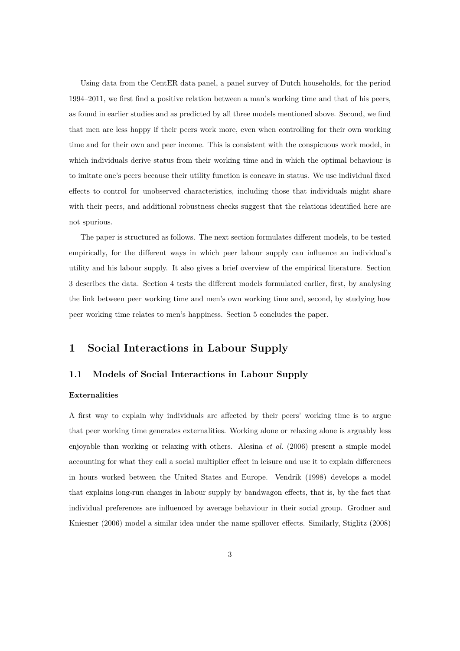Using data from the CentER data panel, a panel survey of Dutch households, for the period 1994–2011, we first find a positive relation between a man's working time and that of his peers, as found in earlier studies and as predicted by all three models mentioned above. Second, we find that men are less happy if their peers work more, even when controlling for their own working time and for their own and peer income. This is consistent with the conspicuous work model, in which individuals derive status from their working time and in which the optimal behaviour is to imitate one's peers because their utility function is concave in status. We use individual fixed effects to control for unobserved characteristics, including those that individuals might share with their peers, and additional robustness checks suggest that the relations identified here are not spurious.

The paper is structured as follows. The next section formulates different models, to be tested empirically, for the different ways in which peer labour supply can influence an individual's utility and his labour supply. It also gives a brief overview of the empirical literature. Section 3 describes the data. Section 4 tests the different models formulated earlier, first, by analysing the link between peer working time and men's own working time and, second, by studying how peer working time relates to men's happiness. Section 5 concludes the paper.

#### **1 Social Interactions in Labour Supply**

#### **1.1 Models of Social Interactions in Labour Supply**

#### **Externalities**

A first way to explain why individuals are affected by their peers' working time is to argue that peer working time generates externalities. Working alone or relaxing alone is arguably less enjoyable than working or relaxing with others. Alesina *et al.* (2006) present a simple model accounting for what they call a social multiplier effect in leisure and use it to explain differences in hours worked between the United States and Europe. Vendrik (1998) develops a model that explains long-run changes in labour supply by bandwagon effects, that is, by the fact that individual preferences are influenced by average behaviour in their social group. Grodner and Kniesner (2006) model a similar idea under the name spillover effects. Similarly, Stiglitz (2008)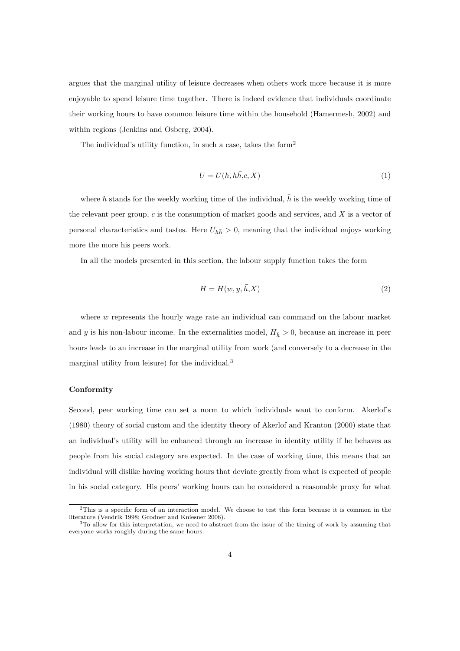argues that the marginal utility of leisure decreases when others work more because it is more enjoyable to spend leisure time together. There is indeed evidence that individuals coordinate their working hours to have common leisure time within the household (Hamermesh, 2002) and within regions (Jenkins and Osberg, 2004).

The individual's utility function, in such a case, takes the form<sup>2</sup>

$$
U = U(h, h\bar{h}, c, X) \tag{1}
$$

where *h* stands for the weekly working time of the individual,  $\bar{h}$  is the weekly working time of the relevant peer group, *c* is the consumption of market goods and services, and *X* is a vector of personal characteristics and tastes. Here  $U_{h\bar{h}} > 0$ , meaning that the individual enjoys working more the more his peers work.

In all the models presented in this section, the labour supply function takes the form

$$
H = H(w, y, \bar{h}, X) \tag{2}
$$

where *w* represents the hourly wage rate an individual can command on the labour market and *y* is his non-labour income. In the externalities model,  $H<sub>h</sub> > 0$ , because an increase in peer hours leads to an increase in the marginal utility from work (and conversely to a decrease in the marginal utility from leisure) for the individual.<sup>3</sup>

#### **Conformity**

Second, peer working time can set a norm to which individuals want to conform. Akerlof's (1980) theory of social custom and the identity theory of Akerlof and Kranton (2000) state that an individual's utility will be enhanced through an increase in identity utility if he behaves as people from his social category are expected. In the case of working time, this means that an individual will dislike having working hours that deviate greatly from what is expected of people in his social category. His peers' working hours can be considered a reasonable proxy for what

<sup>2</sup>This is a specific form of an interaction model. We choose to test this form because it is common in the literature (Vendrik 1998; Grodner and Kniesner 2006).

<sup>&</sup>lt;sup>3</sup>To allow for this interpretation, we need to abstract from the issue of the timing of work by assuming that everyone works roughly during the same hours.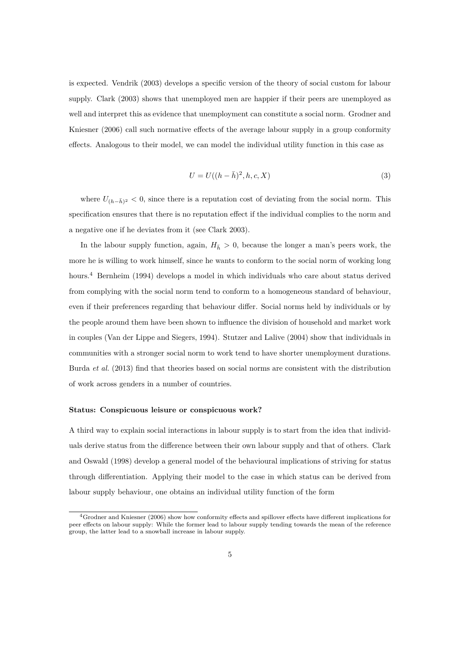is expected. Vendrik (2003) develops a specific version of the theory of social custom for labour supply. Clark (2003) shows that unemployed men are happier if their peers are unemployed as well and interpret this as evidence that unemployment can constitute a social norm. Grodner and Kniesner (2006) call such normative effects of the average labour supply in a group conformity effects. Analogous to their model, we can model the individual utility function in this case as

$$
U = U((h - \bar{h})^2, h, c, X)
$$
\n(3)

where  $U_{(h-\bar{h})^2}$  < 0, since there is a reputation cost of deviating from the social norm. This specification ensures that there is no reputation effect if the individual complies to the norm and a negative one if he deviates from it (see Clark 2003).

In the labour supply function, again,  $H_{\bar{h}} > 0$ , because the longer a man's peers work, the more he is willing to work himself, since he wants to conform to the social norm of working long hours.<sup>4</sup> Bernheim (1994) develops a model in which individuals who care about status derived from complying with the social norm tend to conform to a homogeneous standard of behaviour, even if their preferences regarding that behaviour differ. Social norms held by individuals or by the people around them have been shown to influence the division of household and market work in couples (Van der Lippe and Siegers, 1994). Stutzer and Lalive (2004) show that individuals in communities with a stronger social norm to work tend to have shorter unemployment durations. Burda *et al.* (2013) find that theories based on social norms are consistent with the distribution of work across genders in a number of countries.

#### **Status: Conspicuous leisure or conspicuous work?**

A third way to explain social interactions in labour supply is to start from the idea that individuals derive status from the difference between their own labour supply and that of others. Clark and Oswald (1998) develop a general model of the behavioural implications of striving for status through differentiation. Applying their model to the case in which status can be derived from labour supply behaviour, one obtains an individual utility function of the form

<sup>4</sup>Grodner and Kniesner (2006) show how conformity effects and spillover effects have different implications for peer effects on labour supply: While the former lead to labour supply tending towards the mean of the reference group, the latter lead to a snowball increase in labour supply.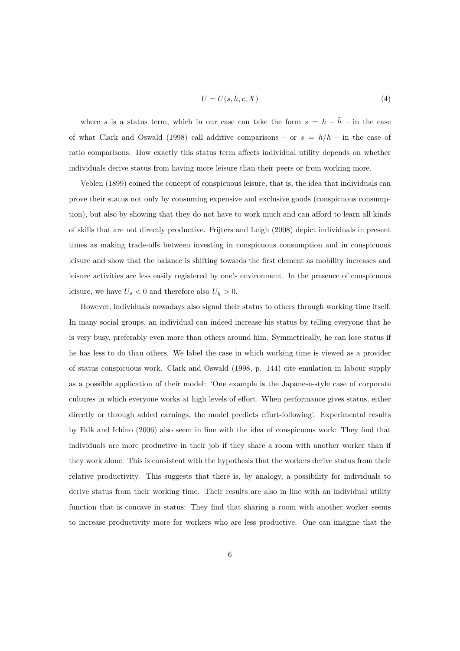$$
U = U(s, h, c, X) \tag{4}
$$

where *s* is a status term, which in our case can take the form  $s = h - \bar{h} -$  in the case of what Clark and Oswald (1998) call additive comparisons – or  $s = h/\bar{h}$  – in the case of ratio comparisons. How exactly this status term affects individual utility depends on whether individuals derive status from having more leisure than their peers or from working more.

Veblen (1899) coined the concept of conspicuous leisure, that is, the idea that individuals can prove their status not only by consuming expensive and exclusive goods (conspicuous consumption), but also by showing that they do not have to work much and can afford to learn all kinds of skills that are not directly productive. Frijters and Leigh (2008) depict individuals in present times as making trade-offs between investing in conspicuous consumption and in conspicuous leisure and show that the balance is shifting towards the first element as mobility increases and leisure activities are less easily registered by one's environment. In the presence of conspicuous leisure, we have  $U_s < 0$  and therefore also  $U_{\bar{h}} > 0$ .

However, individuals nowadays also signal their status to others through working time itself. In many social groups, an individual can indeed increase his status by telling everyone that he is very busy, preferably even more than others around him. Symmetrically, he can lose status if he has less to do than others. We label the case in which working time is viewed as a provider of status conspicuous work. Clark and Oswald (1998, p. 144) cite emulation in labour supply as a possible application of their model: 'One example is the Japanese-style case of corporate cultures in which everyone works at high levels of effort. When performance gives status, either directly or through added earnings, the model predicts effort-following'. Experimental results by Falk and Ichino (2006) also seem in line with the idea of conspicuous work: They find that individuals are more productive in their job if they share a room with another worker than if they work alone. This is consistent with the hypothesis that the workers derive status from their relative productivity. This suggests that there is, by analogy, a possibility for individuals to derive status from their working time. Their results are also in line with an individual utility function that is concave in status: They find that sharing a room with another worker seems to increase productivity more for workers who are less productive. One can imagine that the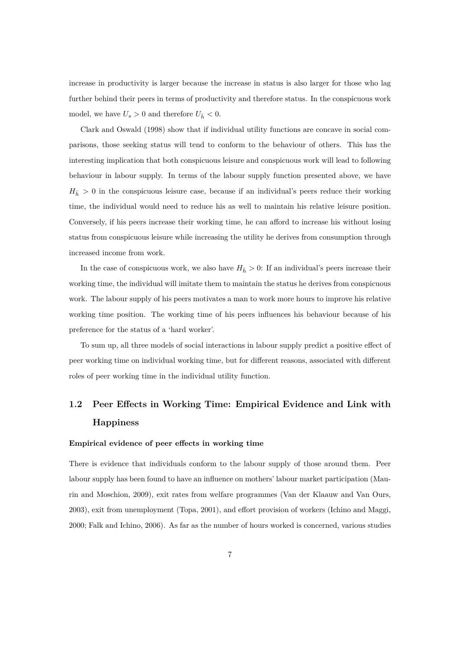increase in productivity is larger because the increase in status is also larger for those who lag further behind their peers in terms of productivity and therefore status. In the conspicuous work model, we have  $U_s > 0$  and therefore  $U_{\bar{h}} < 0$ .

Clark and Oswald (1998) show that if individual utility functions are concave in social comparisons, those seeking status will tend to conform to the behaviour of others. This has the interesting implication that both conspicuous leisure and conspicuous work will lead to following behaviour in labour supply. In terms of the labour supply function presented above, we have  $H_{\bar{h}} > 0$  in the conspicuous leisure case, because if an individual's peers reduce their working time, the individual would need to reduce his as well to maintain his relative leisure position. Conversely, if his peers increase their working time, he can afford to increase his without losing status from conspicuous leisure while increasing the utility he derives from consumption through increased income from work.

In the case of conspicuous work, we also have  $H_{\bar{h}} > 0$ : If an individual's peers increase their working time, the individual will imitate them to maintain the status he derives from conspicuous work. The labour supply of his peers motivates a man to work more hours to improve his relative working time position. The working time of his peers influences his behaviour because of his preference for the status of a 'hard worker'.

To sum up, all three models of social interactions in labour supply predict a positive effect of peer working time on individual working time, but for different reasons, associated with different roles of peer working time in the individual utility function.

## **1.2 Peer Effects in Working Time: Empirical Evidence and Link with Happiness**

#### **Empirical evidence of peer effects in working time**

There is evidence that individuals conform to the labour supply of those around them. Peer labour supply has been found to have an influence on mothers' labour market participation (Maurin and Moschion, 2009), exit rates from welfare programmes (Van der Klaauw and Van Ours, 2003), exit from unemployment (Topa, 2001), and effort provision of workers (Ichino and Maggi, 2000; Falk and Ichino, 2006). As far as the number of hours worked is concerned, various studies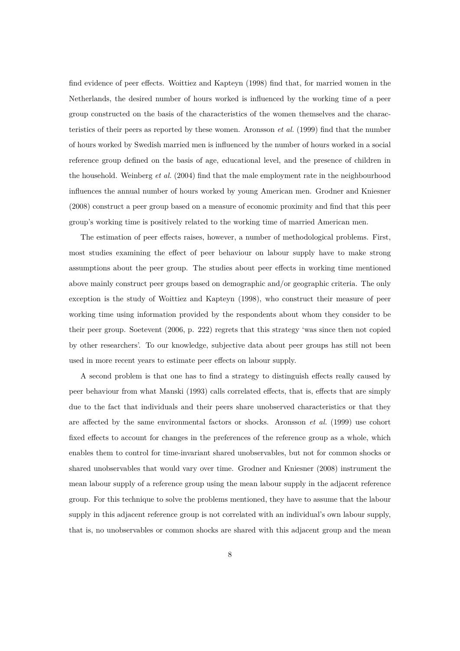find evidence of peer effects. Woittiez and Kapteyn (1998) find that, for married women in the Netherlands, the desired number of hours worked is influenced by the working time of a peer group constructed on the basis of the characteristics of the women themselves and the characteristics of their peers as reported by these women. Aronsson *et al.* (1999) find that the number of hours worked by Swedish married men is influenced by the number of hours worked in a social reference group defined on the basis of age, educational level, and the presence of children in the household. Weinberg *et al.* (2004) find that the male employment rate in the neighbourhood influences the annual number of hours worked by young American men. Grodner and Kniesner (2008) construct a peer group based on a measure of economic proximity and find that this peer group's working time is positively related to the working time of married American men.

The estimation of peer effects raises, however, a number of methodological problems. First, most studies examining the effect of peer behaviour on labour supply have to make strong assumptions about the peer group. The studies about peer effects in working time mentioned above mainly construct peer groups based on demographic and/or geographic criteria. The only exception is the study of Woittiez and Kapteyn (1998), who construct their measure of peer working time using information provided by the respondents about whom they consider to be their peer group. Soetevent (2006, p. 222) regrets that this strategy 'was since then not copied by other researchers'. To our knowledge, subjective data about peer groups has still not been used in more recent years to estimate peer effects on labour supply.

A second problem is that one has to find a strategy to distinguish effects really caused by peer behaviour from what Manski (1993) calls correlated effects, that is, effects that are simply due to the fact that individuals and their peers share unobserved characteristics or that they are affected by the same environmental factors or shocks. Aronsson *et al.* (1999) use cohort fixed effects to account for changes in the preferences of the reference group as a whole, which enables them to control for time-invariant shared unobservables, but not for common shocks or shared unobservables that would vary over time. Grodner and Kniesner (2008) instrument the mean labour supply of a reference group using the mean labour supply in the adjacent reference group. For this technique to solve the problems mentioned, they have to assume that the labour supply in this adjacent reference group is not correlated with an individual's own labour supply, that is, no unobservables or common shocks are shared with this adjacent group and the mean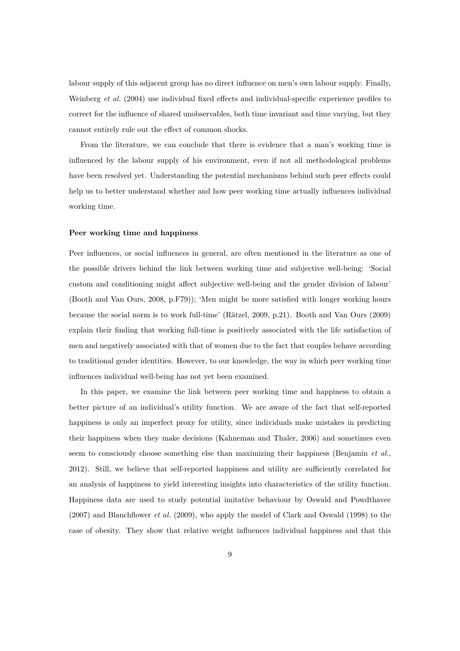labour supply of this adjacent group has no direct influence on men's own labour supply. Finally, Weinberg *et al.* (2004) use individual fixed effects and individual-specific experience profiles to correct for the influence of shared unobservables, both time invariant and time varying, but they cannot entirely rule out the effect of common shocks.

From the literature, we can conclude that there is evidence that a man's working time is influenced by the labour supply of his environment, even if not all methodological problems have been resolved yet. Understanding the potential mechanisms behind such peer effects could help us to better understand whether and how peer working time actually influences individual working time.

#### **Peer working time and happiness**

Peer influences, or social influences in general, are often mentioned in the literature as one of the possible drivers behind the link between working time and subjective well-being: 'Social custom and conditioning might affect subjective well-being and the gender division of labour' (Booth and Van Ours, 2008, p.F79)); 'Men might be more satisfied with longer working hours because the social norm is to work full-time' (Rätzel, 2009, p.21). Booth and Van Ours (2009) explain their finding that working full-time is positively associated with the life satisfaction of men and negatively associated with that of women due to the fact that couples behave according to traditional gender identities. However, to our knowledge, the way in which peer working time influences individual well-being has not yet been examined.

In this paper, we examine the link between peer working time and happiness to obtain a better picture of an individual's utility function. We are aware of the fact that self-reported happiness is only an imperfect proxy for utility, since individuals make mistakes in predicting their happiness when they make decisions (Kahneman and Thaler, 2006) and sometimes even seem to consciously choose something else than maximizing their happiness (Benjamin *et al.*, 2012). Still, we believe that self-reported happiness and utility are sufficiently correlated for an analysis of happiness to yield interesting insights into characteristics of the utility function. Happiness data are used to study potential imitative behaviour by Oswald and Powdthavee (2007) and Blanchflower *et al.* (2009), who apply the model of Clark and Oswald (1998) to the case of obesity. They show that relative weight influences individual happiness and that this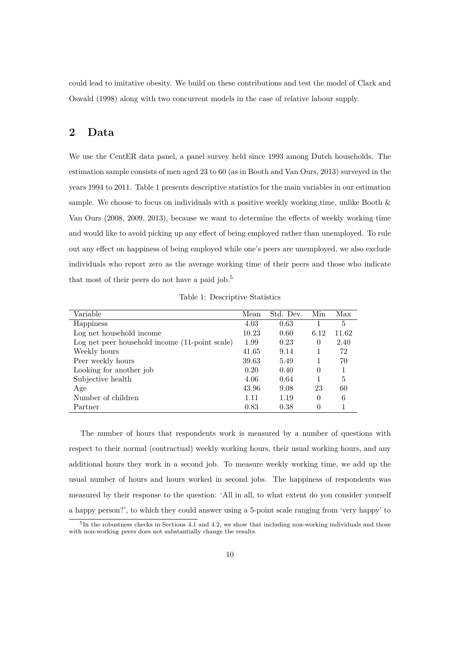could lead to imitative obesity. We build on these contributions and test the model of Clark and Oswald (1998) along with two concurrent models in the case of relative labour supply.

## **2 Data**

We use the CentER data panel, a panel survey held since 1993 among Dutch households. The estimation sample consists of men aged 23 to 60 (as in Booth and Van Ours, 2013) surveyed in the years 1994 to 2011. Table 1 presents descriptive statistics for the main variables in our estimation sample. We choose to focus on individuals with a positive weekly working time, unlike Booth  $\&$ Van Ours (2008, 2009, 2013), because we want to determine the effects of weekly working time and would like to avoid picking up any effect of being employed rather than unemployed. To rule out any effect on happiness of being employed while one's peers are unemployed, we also exclude individuals who report zero as the average working time of their peers and those who indicate that most of their peers do not have a paid job.<sup>5</sup>

Table 1: Descriptive Statistics

| Variable                                       | Mean  | Std. Dev. | Min      | Max   |
|------------------------------------------------|-------|-----------|----------|-------|
| Happiness                                      | 4.03  | 0.63      |          | 5     |
| Log net household income                       | 10.23 | 0.60      | 6.12     | 11.62 |
| Log net peer household income (11-point scale) | 1.99  | 0.23      | $\Omega$ | 2.40  |
| Weekly hours                                   | 41.65 | 9.14      |          | 72    |
| Peer weekly hours                              | 39.63 | 5.49      |          | 70    |
| Looking for another job                        | 0.20  | 0.40      | $\Omega$ |       |
| Subjective health                              | 4.06  | 0.64      |          | 5     |
| Age                                            | 43.96 | 9.08      | 23       | 60    |
| Number of children                             | 1.11  | 1.19      | $\Omega$ | 6     |
| Partner                                        | 0.83  | 0.38      | 0        |       |

The number of hours that respondents work is measured by a number of questions with respect to their normal (contractual) weekly working hours, their usual working hours, and any additional hours they work in a second job. To measure weekly working time, we add up the usual number of hours and hours worked in second jobs. The happiness of respondents was measured by their response to the question: 'All in all, to what extent do you consider yourself a happy person?', to which they could answer using a 5-point scale ranging from 'very happy' to

<sup>&</sup>lt;sup>5</sup>In the robustness checks in Sections 4.1 and 4.2, we show that including non-working individuals and those with non-working peers does not substantially change the results.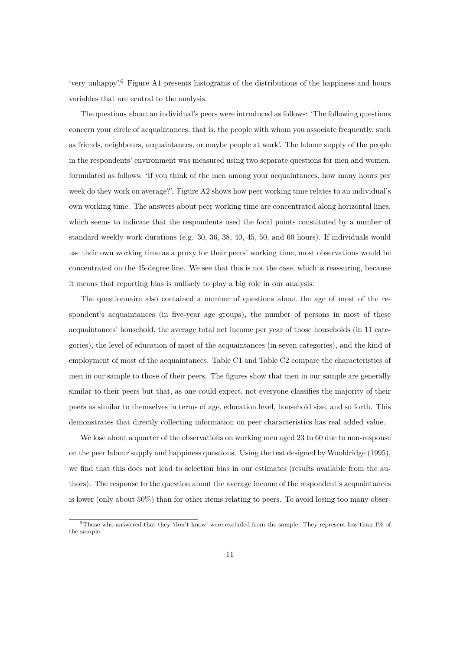'very unhappy'.<sup>6</sup> Figure A1 presents histograms of the distributions of the happiness and hours variables that are central to the analysis.

The questions about an individual's peers were introduced as follows: 'The following questions concern your circle of acquaintances, that is, the people with whom you associate frequently, such as friends, neighbours, acquaintances, or maybe people at work'. The labour supply of the people in the respondents' environment was measured using two separate questions for men and women, formulated as follows: 'If you think of the men among your acquaintances, how many hours per week do they work on average?'. Figure A2 shows how peer working time relates to an individual's own working time. The answers about peer working time are concentrated along horizontal lines, which seems to indicate that the respondents used the focal points constituted by a number of standard weekly work durations (e.g. 30, 36, 38, 40, 45, 50, and 60 hours). If individuals would use their own working time as a proxy for their peers' working time, most observations would be concentrated on the 45-degree line. We see that this is not the case, which is reassuring, because it means that reporting bias is unlikely to play a big role in our analysis.

The questionnaire also contained a number of questions about the age of most of the respondent's acquaintances (in five-year age groups), the number of persons in most of these acquaintances' household, the average total net income per year of those households (in 11 categories), the level of education of most of the acquaintances (in seven categories), and the kind of employment of most of the acquaintances. Table C1 and Table C2 compare the characteristics of men in our sample to those of their peers. The figures show that men in our sample are generally similar to their peers but that, as one could expect, not everyone classifies the majority of their peers as similar to themselves in terms of age, education level, household size, and so forth. This demonstrates that directly collecting information on peer characteristics has real added value.

We lose about a quarter of the observations on working men aged 23 to 60 due to non-response on the peer labour supply and happiness questions. Using the test designed by Wooldridge (1995), we find that this does not lead to selection bias in our estimates (results available from the authors). The response to the question about the average income of the respondent's acquaintances is lower (only about 50%) than for other items relating to peers. To avoid losing too many obser-

 $6$ Those who answered that they 'don't know' were excluded from the sample. They represent less than 1% of the sample.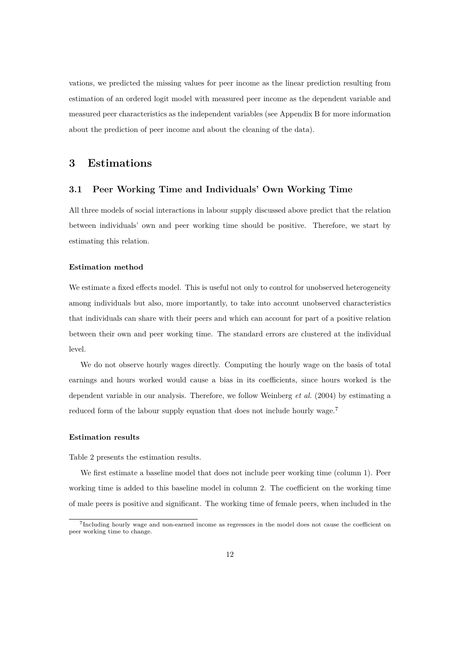vations, we predicted the missing values for peer income as the linear prediction resulting from estimation of an ordered logit model with measured peer income as the dependent variable and measured peer characteristics as the independent variables (see Appendix B for more information about the prediction of peer income and about the cleaning of the data).

#### **3 Estimations**

#### **3.1 Peer Working Time and Individuals' Own Working Time**

All three models of social interactions in labour supply discussed above predict that the relation between individuals' own and peer working time should be positive. Therefore, we start by estimating this relation.

#### **Estimation method**

We estimate a fixed effects model. This is useful not only to control for unobserved heterogeneity among individuals but also, more importantly, to take into account unobserved characteristics that individuals can share with their peers and which can account for part of a positive relation between their own and peer working time. The standard errors are clustered at the individual level.

We do not observe hourly wages directly. Computing the hourly wage on the basis of total earnings and hours worked would cause a bias in its coefficients, since hours worked is the dependent variable in our analysis. Therefore, we follow Weinberg *et al.* (2004) by estimating a reduced form of the labour supply equation that does not include hourly wage.<sup>7</sup>

#### **Estimation results**

Table 2 presents the estimation results.

We first estimate a baseline model that does not include peer working time (column 1). Peer working time is added to this baseline model in column 2. The coefficient on the working time of male peers is positive and significant. The working time of female peers, when included in the

<sup>7</sup> Including hourly wage and non-earned income as regressors in the model does not cause the coefficient on peer working time to change.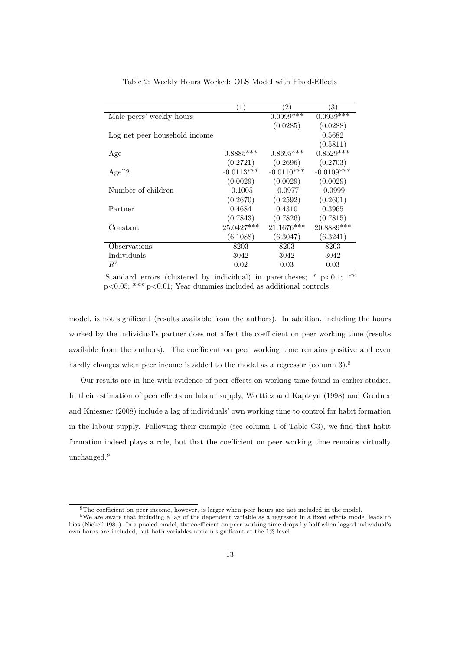|                               | $\left( 1\right)$ | $\left( 2\right)$ | $\left(3\right)$ |
|-------------------------------|-------------------|-------------------|------------------|
| Male peers' weekly hours      |                   | $0.0999***$       | $0.0939***$      |
|                               |                   | (0.0285)          | (0.0288)         |
| Log net peer household income |                   |                   | 0.5682           |
|                               |                   |                   | (0.5811)         |
| Age                           | $0.8885***$       | $0.8695***$       | $0.8529***$      |
|                               | (0.2721)          | (0.2696)          | (0.2703)         |
| $Age^2$                       | $-0.0113***$      | $-0.0110***$      | $-0.0109***$     |
|                               | (0.0029)          | (0.0029)          | (0.0029)         |
| Number of children            | $-0.1005$         | $-0.0977$         | $-0.0999$        |
|                               | (0.2670)          | (0.2592)          | (0.2601)         |
| Partner                       | 0.4684            | 0.4310            | 0.3965           |
|                               | (0.7843)          | (0.7826)          | (0.7815)         |
| Constant                      | 25.0427***        | 21.1676***        | 20.8889***       |
|                               | (6.1088)          | (6.3047)          | (6.3241)         |
| Observations                  | 8203              | 8203              | 8203             |
| Individuals                   | 3042              | 3042              | 3042             |
| $R^2$                         | 0.02              | 0.03              | 0.03             |

Table 2: Weekly Hours Worked: OLS Model with Fixed-Effects

Standard errors (clustered by individual) in parentheses;  $*$  p $< 0.1$ ;  $**$ p<0.05; \*\*\* p<0.01; Year dummies included as additional controls.

model, is not significant (results available from the authors). In addition, including the hours worked by the individual's partner does not affect the coefficient on peer working time (results available from the authors). The coefficient on peer working time remains positive and even hardly changes when peer income is added to the model as a regressor (column 3).<sup>8</sup>

Our results are in line with evidence of peer effects on working time found in earlier studies. In their estimation of peer effects on labour supply, Woittiez and Kapteyn (1998) and Grodner and Kniesner (2008) include a lag of individuals' own working time to control for habit formation in the labour supply. Following their example (see column 1 of Table C3), we find that habit formation indeed plays a role, but that the coefficient on peer working time remains virtually unchanged.<sup>9</sup>

<sup>8</sup>The coefficient on peer income, however, is larger when peer hours are not included in the model.

<sup>9</sup>We are aware that including a lag of the dependent variable as a regressor in a fixed effects model leads to bias (Nickell 1981). In a pooled model, the coefficient on peer working time drops by half when lagged individual's own hours are included, but both variables remain significant at the 1% level.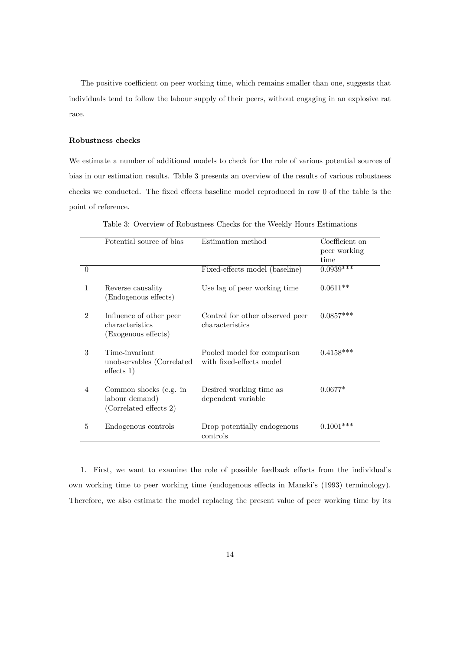The positive coefficient on peer working time, which remains smaller than one, suggests that individuals tend to follow the labour supply of their peers, without engaging in an explosive rat race.

#### **Robustness checks**

We estimate a number of additional models to check for the role of various potential sources of bias in our estimation results. Table 3 presents an overview of the results of various robustness checks we conducted. The fixed effects baseline model reproduced in row 0 of the table is the point of reference.

|                | Potential source of bias                                           | Estimation method                                       | Coefficient on<br>peer working<br>time |
|----------------|--------------------------------------------------------------------|---------------------------------------------------------|----------------------------------------|
| $\Omega$       |                                                                    | Fixed-effects model (baseline)                          | $0.0939***$                            |
| 1              | Reverse causality<br>(Endogenous effects)                          | Use lag of peer working time                            | $0.0611**$                             |
| 2              | Influence of other peer<br>characteristics<br>(Exogenous effects)  | Control for other observed peer<br>characteristics      | $0.0857***$                            |
| 3              | Time-invariant<br>unobservables (Correlated<br>effects 1)          | Pooled model for comparison<br>with fixed-effects model | $0.4158***$                            |
| $\overline{4}$ | Common shocks (e.g. in<br>labour demand)<br>(Correlated effects 2) | Desired working time as<br>dependent variable           | $0.0677*$                              |
| 5              | Endogenous controls                                                | Drop potentially endogenous<br>controls                 | $0.1001***$                            |

Table 3: Overview of Robustness Checks for the Weekly Hours Estimations

1. First, we want to examine the role of possible feedback effects from the individual's own working time to peer working time (endogenous effects in Manski's (1993) terminology). Therefore, we also estimate the model replacing the present value of peer working time by its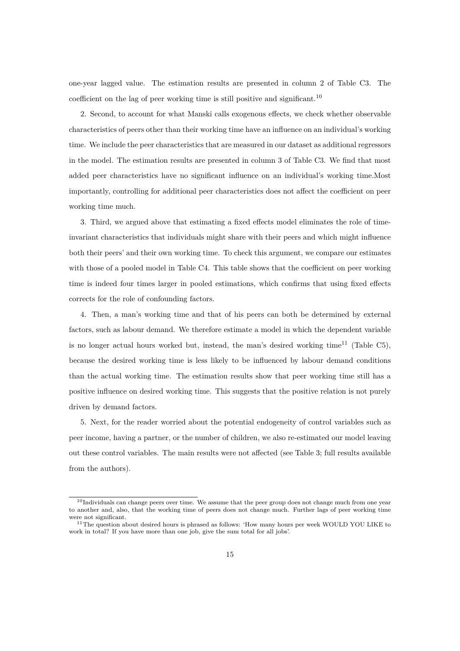one-year lagged value. The estimation results are presented in column 2 of Table C3. The coefficient on the lag of peer working time is still positive and significant.<sup>10</sup>

2. Second, to account for what Manski calls exogenous effects, we check whether observable characteristics of peers other than their working time have an influence on an individual's working time. We include the peer characteristics that are measured in our dataset as additional regressors in the model. The estimation results are presented in column 3 of Table C3. We find that most added peer characteristics have no significant influence on an individual's working time.Most importantly, controlling for additional peer characteristics does not affect the coefficient on peer working time much.

3. Third, we argued above that estimating a fixed effects model eliminates the role of timeinvariant characteristics that individuals might share with their peers and which might influence both their peers' and their own working time. To check this argument, we compare our estimates with those of a pooled model in Table C4. This table shows that the coefficient on peer working time is indeed four times larger in pooled estimations, which confirms that using fixed effects corrects for the role of confounding factors.

4. Then, a man's working time and that of his peers can both be determined by external factors, such as labour demand. We therefore estimate a model in which the dependent variable is no longer actual hours worked but, instead, the man's desired working time<sup>11</sup> (Table C5), because the desired working time is less likely to be influenced by labour demand conditions than the actual working time. The estimation results show that peer working time still has a positive influence on desired working time. This suggests that the positive relation is not purely driven by demand factors.

5. Next, for the reader worried about the potential endogeneity of control variables such as peer income, having a partner, or the number of children, we also re-estimated our model leaving out these control variables. The main results were not affected (see Table 3; full results available from the authors).

 $10$ Individuals can change peers over time. We assume that the peer group does not change much from one year to another and, also, that the working time of peers does not change much. Further lags of peer working time were not significant.

<sup>&</sup>lt;sup>11</sup>The question about desired hours is phrased as follows: 'How many hours per week WOULD YOU LIKE to work in total? If you have more than one job, give the sum total for all jobs'.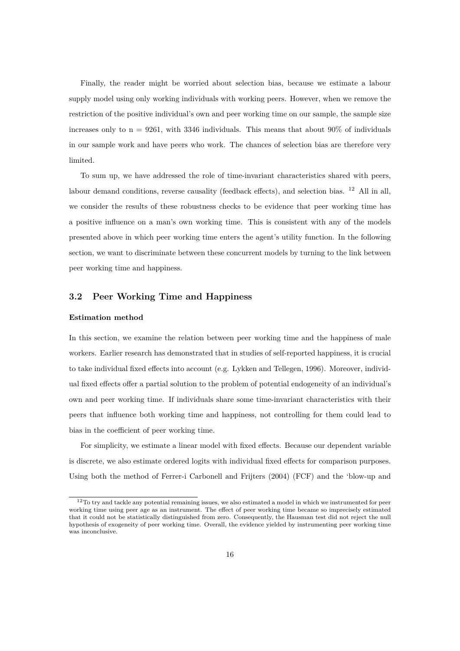Finally, the reader might be worried about selection bias, because we estimate a labour supply model using only working individuals with working peers. However, when we remove the restriction of the positive individual's own and peer working time on our sample, the sample size increases only to  $n = 9261$ , with 3346 individuals. This means that about 90% of individuals in our sample work and have peers who work. The chances of selection bias are therefore very limited.

To sum up, we have addressed the role of time-invariant characteristics shared with peers, labour demand conditions, reverse causality (feedback effects), and selection bias. <sup>12</sup> All in all, we consider the results of these robustness checks to be evidence that peer working time has a positive influence on a man's own working time. This is consistent with any of the models presented above in which peer working time enters the agent's utility function. In the following section, we want to discriminate between these concurrent models by turning to the link between peer working time and happiness.

#### **3.2 Peer Working Time and Happiness**

#### **Estimation method**

In this section, we examine the relation between peer working time and the happiness of male workers. Earlier research has demonstrated that in studies of self-reported happiness, it is crucial to take individual fixed effects into account (e.g. Lykken and Tellegen, 1996). Moreover, individual fixed effects offer a partial solution to the problem of potential endogeneity of an individual's own and peer working time. If individuals share some time-invariant characteristics with their peers that influence both working time and happiness, not controlling for them could lead to bias in the coefficient of peer working time.

For simplicity, we estimate a linear model with fixed effects. Because our dependent variable is discrete, we also estimate ordered logits with individual fixed effects for comparison purposes. Using both the method of Ferrer-i Carbonell and Frijters (2004) (FCF) and the 'blow-up and

<sup>&</sup>lt;sup>12</sup>To try and tackle any potential remaining issues, we also estimated a model in which we instrumented for peer working time using peer age as an instrument. The effect of peer working time became so imprecisely estimated that it could not be statistically distinguished from zero. Consequently, the Hausman test did not reject the null hypothesis of exogeneity of peer working time. Overall, the evidence yielded by instrumenting peer working time was inconclusive.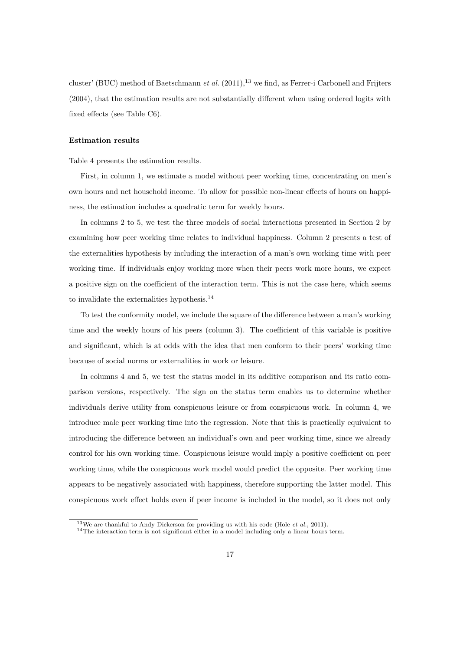cluster' (BUC) method of Baetschmann *et al.* (2011),<sup>13</sup> we find, as Ferrer-i Carbonell and Frijters (2004), that the estimation results are not substantially different when using ordered logits with fixed effects (see Table C6).

#### **Estimation results**

Table 4 presents the estimation results.

First, in column 1, we estimate a model without peer working time, concentrating on men's own hours and net household income. To allow for possible non-linear effects of hours on happiness, the estimation includes a quadratic term for weekly hours.

In columns 2 to 5, we test the three models of social interactions presented in Section 2 by examining how peer working time relates to individual happiness. Column 2 presents a test of the externalities hypothesis by including the interaction of a man's own working time with peer working time. If individuals enjoy working more when their peers work more hours, we expect a positive sign on the coefficient of the interaction term. This is not the case here, which seems to invalidate the externalities hypothesis.<sup>14</sup>

To test the conformity model, we include the square of the difference between a man's working time and the weekly hours of his peers (column 3). The coefficient of this variable is positive and significant, which is at odds with the idea that men conform to their peers' working time because of social norms or externalities in work or leisure.

In columns 4 and 5, we test the status model in its additive comparison and its ratio comparison versions, respectively. The sign on the status term enables us to determine whether individuals derive utility from conspicuous leisure or from conspicuous work. In column 4, we introduce male peer working time into the regression. Note that this is practically equivalent to introducing the difference between an individual's own and peer working time, since we already control for his own working time. Conspicuous leisure would imply a positive coefficient on peer working time, while the conspicuous work model would predict the opposite. Peer working time appears to be negatively associated with happiness, therefore supporting the latter model. This conspicuous work effect holds even if peer income is included in the model, so it does not only

<sup>13</sup>We are thankful to Andy Dickerson for providing us with his code (Hole *et al.*, 2011).

<sup>&</sup>lt;sup>14</sup>The interaction term is not significant either in a model including only a linear hours term.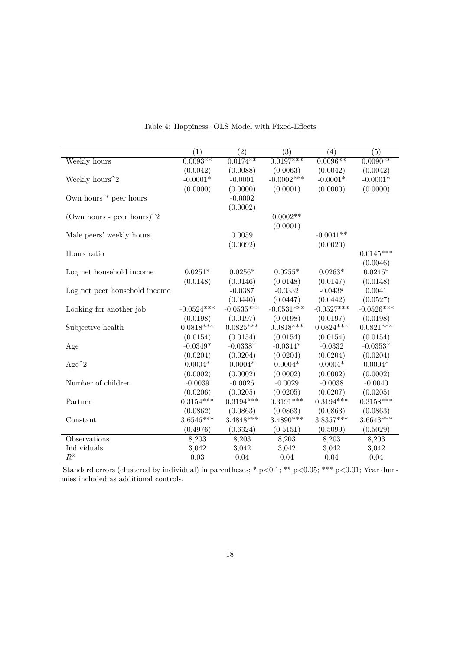|                                                          | (1)          | (2)          | (3)          | $\left( 4\right)$ | (5)          |
|----------------------------------------------------------|--------------|--------------|--------------|-------------------|--------------|
| Weekly hours                                             | $0.0093**$   | $0.0174**$   | $0.0197***$  | $0.0096**$        | $0.0090**$   |
|                                                          | (0.0042)     | (0.0088)     | (0.0063)     | (0.0042)          | (0.0042)     |
| Weekly hours <sup>2</sup>                                | $-0.0001*$   | $-0.0001$    | $-0.0002***$ | $-0.0001*$        | $-0.0001*$   |
|                                                          | (0.0000)     | (0.0000)     | (0.0001)     | (0.0000)          | (0.0000)     |
| Own hours * peer hours                                   |              | $-0.0002$    |              |                   |              |
|                                                          |              | (0.0002)     |              |                   |              |
| (Own hours - peer hours) <sup><math>\hat{}2</math></sup> |              |              | $0.0002**$   |                   |              |
|                                                          |              |              | (0.0001)     |                   |              |
| Male peers' weekly hours                                 |              | 0.0059       |              | $-0.0041**$       |              |
|                                                          |              | (0.0092)     |              | (0.0020)          |              |
| Hours ratio                                              |              |              |              |                   | $0.0145***$  |
|                                                          |              |              |              |                   | (0.0046)     |
| Log net household income                                 | $0.0251*$    | $0.0256*$    | $0.0255*$    | $0.0263*$         | $0.0246*$    |
|                                                          | (0.0148)     | (0.0146)     | (0.0148)     | (0.0147)          | (0.0148)     |
| Log net peer household income                            |              | $-0.0387$    | $-0.0332$    | $-0.0438$         | 0.0041       |
|                                                          |              | (0.0440)     | (0.0447)     | (0.0442)          | (0.0527)     |
| Looking for another job                                  | $-0.0524***$ | $-0.0535***$ | $-0.0531***$ | $-0.0527***$      | $-0.0526***$ |
|                                                          | (0.0198)     | (0.0197)     | (0.0198)     | (0.0197)          | (0.0198)     |
| Subjective health                                        | $0.0818***$  | $0.0825***$  | $0.0818***$  | $0.0824***$       | $0.0821***$  |
|                                                          | (0.0154)     | (0.0154)     | (0.0154)     | (0.0154)          | (0.0154)     |
| Age                                                      | $-0.0349*$   | $-0.0338*$   | $-0.0344*$   | $-0.0332$         | $-0.0353*$   |
|                                                          | (0.0204)     | (0.0204)     | (0.0204)     | (0.0204)          | (0.0204)     |
| $Age^2$                                                  | $0.0004*$    | $0.0004*$    | $0.0004*$    | $0.0004*$         | $0.0004*$    |
|                                                          | (0.0002)     | (0.0002)     | (0.0002)     | (0.0002)          | (0.0002)     |
| Number of children                                       | $-0.0039$    | $-0.0026$    | $-0.0029$    | $-0.0038$         | $-0.0040$    |
|                                                          | (0.0206)     | (0.0205)     | (0.0205)     | (0.0207)          | (0.0205)     |
| Partner                                                  | $0.3154***$  | $0.3194***$  | $0.3191***$  | $0.3194***$       | $0.3158***$  |
|                                                          | (0.0862)     | (0.0863)     | (0.0863)     | (0.0863)          | (0.0863)     |
| Constant                                                 | $3.6546***$  | $3.4848***$  | $3.4890***$  | $3.8357***$       | $3.6643***$  |
|                                                          | (0.4976)     | (0.6324)     | (0.5151)     | (0.5099)          | (0.5029)     |
| Observations                                             | 8,203        | 8,203        | 8,203        | 8,203             | 8,203        |
| Individuals                                              | 3,042        | 3,042        | 3,042        | 3,042             | 3,042        |
| $\mathbb{R}^2$                                           | $0.03\,$     | $0.04\,$     | 0.04         | 0.04              | 0.04         |

Table 4: Happiness: OLS Model with Fixed-Effects

Standard errors (clustered by individual) in parentheses; \* p<0.1; \*\* p<0.05; \*\*\* p<0.01; Year dummies included as additional controls.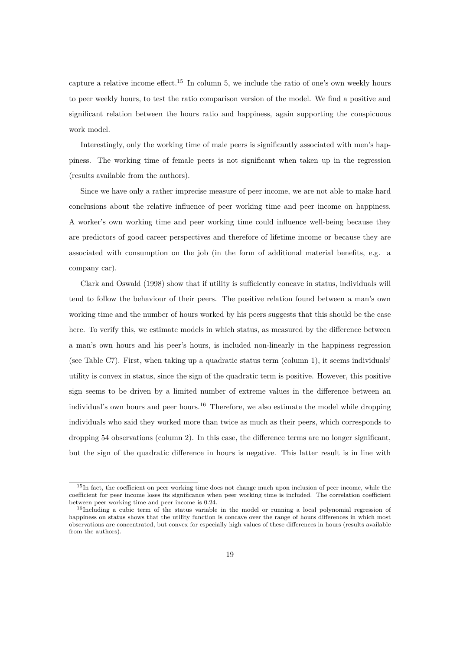capture a relative income effect.<sup>15</sup> In column 5, we include the ratio of one's own weekly hours to peer weekly hours, to test the ratio comparison version of the model. We find a positive and significant relation between the hours ratio and happiness, again supporting the conspicuous work model.

Interestingly, only the working time of male peers is significantly associated with men's happiness. The working time of female peers is not significant when taken up in the regression (results available from the authors).

Since we have only a rather imprecise measure of peer income, we are not able to make hard conclusions about the relative influence of peer working time and peer income on happiness. A worker's own working time and peer working time could influence well-being because they are predictors of good career perspectives and therefore of lifetime income or because they are associated with consumption on the job (in the form of additional material benefits, e.g. a company car).

Clark and Oswald (1998) show that if utility is sufficiently concave in status, individuals will tend to follow the behaviour of their peers. The positive relation found between a man's own working time and the number of hours worked by his peers suggests that this should be the case here. To verify this, we estimate models in which status, as measured by the difference between a man's own hours and his peer's hours, is included non-linearly in the happiness regression (see Table C7). First, when taking up a quadratic status term (column 1), it seems individuals' utility is convex in status, since the sign of the quadratic term is positive. However, this positive sign seems to be driven by a limited number of extreme values in the difference between an individual's own hours and peer hours.<sup>16</sup> Therefore, we also estimate the model while dropping individuals who said they worked more than twice as much as their peers, which corresponds to dropping 54 observations (column 2). In this case, the difference terms are no longer significant, but the sign of the quadratic difference in hours is negative. This latter result is in line with

<sup>15</sup>In fact, the coefficient on peer working time does not change much upon inclusion of peer income, while the coefficient for peer income loses its significance when peer working time is included. The correlation coefficient between peer working time and peer income is 0.24.

<sup>&</sup>lt;sup>16</sup>Including a cubic term of the status variable in the model or running a local polynomial regression of happiness on status shows that the utility function is concave over the range of hours differences in which most observations are concentrated, but convex for especially high values of these differences in hours (results available from the authors).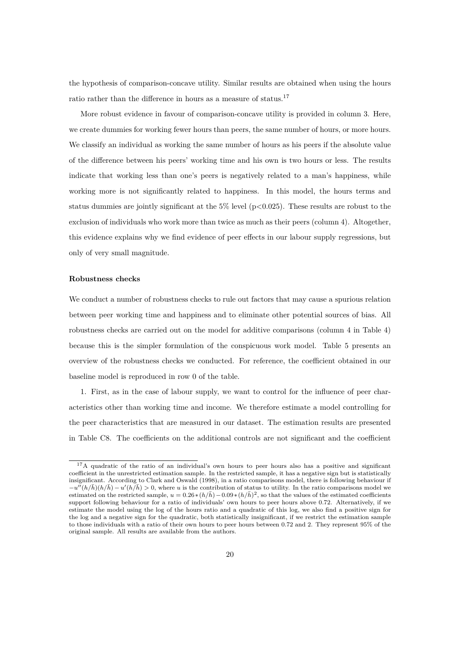the hypothesis of comparison-concave utility. Similar results are obtained when using the hours ratio rather than the difference in hours as a measure of status.<sup>17</sup>

More robust evidence in favour of comparison-concave utility is provided in column 3. Here, we create dummies for working fewer hours than peers, the same number of hours, or more hours. We classify an individual as working the same number of hours as his peers if the absolute value of the difference between his peers' working time and his own is two hours or less. The results indicate that working less than one's peers is negatively related to a man's happiness, while working more is not significantly related to happiness. In this model, the hours terms and status dummies are jointly significant at the  $5\%$  level ( $p<0.025$ ). These results are robust to the exclusion of individuals who work more than twice as much as their peers (column 4). Altogether, this evidence explains why we find evidence of peer effects in our labour supply regressions, but only of very small magnitude.

#### **Robustness checks**

We conduct a number of robustness checks to rule out factors that may cause a spurious relation between peer working time and happiness and to eliminate other potential sources of bias. All robustness checks are carried out on the model for additive comparisons (column 4 in Table 4) because this is the simpler formulation of the conspicuous work model. Table 5 presents an overview of the robustness checks we conducted. For reference, the coefficient obtained in our baseline model is reproduced in row 0 of the table.

1. First, as in the case of labour supply, we want to control for the influence of peer characteristics other than working time and income. We therefore estimate a model controlling for the peer characteristics that are measured in our dataset. The estimation results are presented in Table C8. The coefficients on the additional controls are not significant and the coefficient

<sup>&</sup>lt;sup>17</sup>A quadratic of the ratio of an individual's own hours to peer hours also has a positive and significant coefficient in the unrestricted estimation sample. In the restricted sample, it has a negative sign but is statistically insignificant. According to Clark and Oswald (1998), in a ratio comparisons model, there is following behaviour if  $-u^{II}(h/\bar{h})\left(h/\bar{h}\right) - u'(h/\bar{h}) > 0$ , where *u* is the contribution of status to utility. In the ratio comparisons model we estimated on the restricted sample,  $u = 0.26*(h/\bar{h}) - 0.09*(h/\bar{h})^2$ , so that the values of the estimated coefficients support following behaviour for a ratio of individuals' own hours to peer hours above 0.72. Alternatively, if we estimate the model using the log of the hours ratio and a quadratic of this log, we also find a positive sign for the log and a negative sign for the quadratic, both statistically insignificant, if we restrict the estimation sample to those individuals with a ratio of their own hours to peer hours between 0.72 and 2. They represent 95% of the original sample. All results are available from the authors.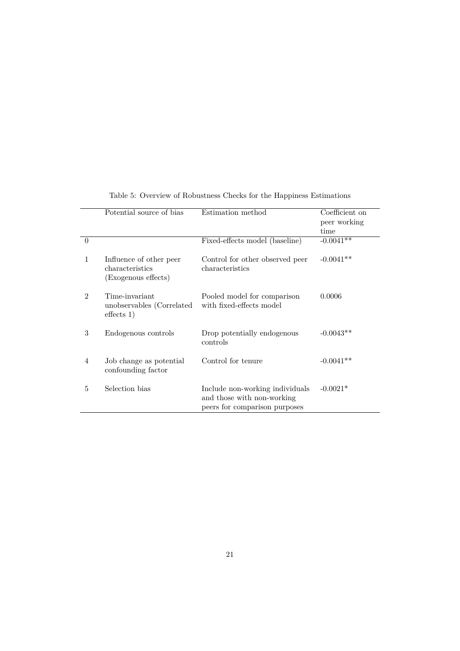|                | Potential source of bias                                          | Estimation method                                                                              | Coefficient on<br>peer working<br>time |
|----------------|-------------------------------------------------------------------|------------------------------------------------------------------------------------------------|----------------------------------------|
| $\Omega$       |                                                                   | Fixed-effects model (baseline)                                                                 | $-0.0041$ **                           |
| 1              | Influence of other peer<br>characteristics<br>(Exogenous effects) | Control for other observed peer<br>characteristics                                             | $-0.0041**$                            |
| $\mathfrak{D}$ | Time-invariant<br>unobservables (Correlated<br>effects 1)         | Pooled model for comparison<br>with fixed-effects model                                        | 0.0006                                 |
| 3              | Endogenous controls                                               | Drop potentially endogenous<br>controls                                                        | $-0.0043**$                            |
| $\overline{4}$ | Job change as potential<br>confounding factor                     | Control for tenure                                                                             | $-0.0041**$                            |
| 5              | Selection bias                                                    | Include non-working individuals<br>and those with non-working<br>peers for comparison purposes | $-0.0021*$                             |

Table 5: Overview of Robustness Checks for the Happiness Estimations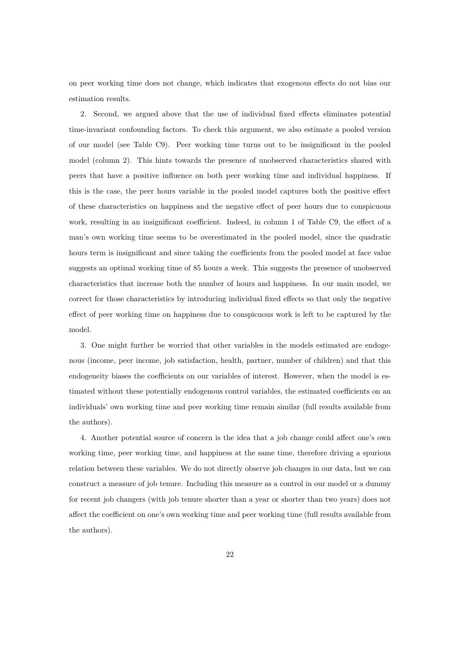on peer working time does not change, which indicates that exogenous effects do not bias our estimation results.

2. Second, we argued above that the use of individual fixed effects eliminates potential time-invariant confounding factors. To check this argument, we also estimate a pooled version of our model (see Table C9). Peer working time turns out to be insignificant in the pooled model (column 2). This hints towards the presence of unobserved characteristics shared with peers that have a positive influence on both peer working time and individual happiness. If this is the case, the peer hours variable in the pooled model captures both the positive effect of these characteristics on happiness and the negative effect of peer hours due to conspicuous work, resulting in an insignificant coefficient. Indeed, in column 1 of Table C9, the effect of a man's own working time seems to be overestimated in the pooled model, since the quadratic hours term is insignificant and since taking the coefficients from the pooled model at face value suggests an optimal working time of 85 hours a week. This suggests the presence of unobserved characteristics that increase both the number of hours and happiness. In our main model, we correct for those characteristics by introducing individual fixed effects so that only the negative effect of peer working time on happiness due to conspicuous work is left to be captured by the model.

3. One might further be worried that other variables in the models estimated are endogenous (income, peer income, job satisfaction, health, partner, number of children) and that this endogeneity biases the coefficients on our variables of interest. However, when the model is estimated without these potentially endogenous control variables, the estimated coefficients on an individuals' own working time and peer working time remain similar (full results available from the authors).

4. Another potential source of concern is the idea that a job change could affect one's own working time, peer working time, and happiness at the same time, therefore driving a spurious relation between these variables. We do not directly observe job changes in our data, but we can construct a measure of job tenure. Including this measure as a control in our model or a dummy for recent job changers (with job tenure shorter than a year or shorter than two years) does not affect the coefficient on one's own working time and peer working time (full results available from the authors).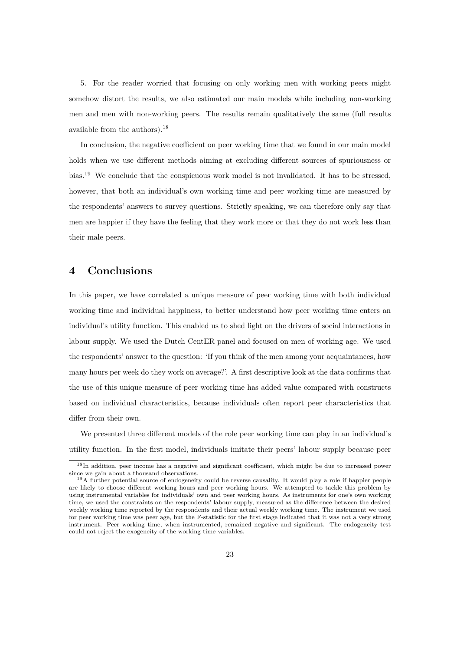5. For the reader worried that focusing on only working men with working peers might somehow distort the results, we also estimated our main models while including non-working men and men with non-working peers. The results remain qualitatively the same (full results available from the authors).<sup>18</sup>

In conclusion, the negative coefficient on peer working time that we found in our main model holds when we use different methods aiming at excluding different sources of spuriousness or bias.<sup>19</sup> We conclude that the conspicuous work model is not invalidated. It has to be stressed, however, that both an individual's own working time and peer working time are measured by the respondents' answers to survey questions. Strictly speaking, we can therefore only say that men are happier if they have the feeling that they work more or that they do not work less than their male peers.

### **4 Conclusions**

In this paper, we have correlated a unique measure of peer working time with both individual working time and individual happiness, to better understand how peer working time enters an individual's utility function. This enabled us to shed light on the drivers of social interactions in labour supply. We used the Dutch CentER panel and focused on men of working age. We used the respondents' answer to the question: 'If you think of the men among your acquaintances, how many hours per week do they work on average?'. A first descriptive look at the data confirms that the use of this unique measure of peer working time has added value compared with constructs based on individual characteristics, because individuals often report peer characteristics that differ from their own.

We presented three different models of the role peer working time can play in an individual's utility function. In the first model, individuals imitate their peers' labour supply because peer

<sup>&</sup>lt;sup>18</sup>In addition, peer income has a negative and significant coefficient, which might be due to increased power since we gain about a thousand observations.

<sup>&</sup>lt;sup>19</sup>A further potential source of endogeneity could be reverse causality. It would play a role if happier people are likely to choose different working hours and peer working hours. We attempted to tackle this problem by using instrumental variables for individuals' own and peer working hours. As instruments for one's own working time, we used the constraints on the respondents' labour supply, measured as the difference between the desired weekly working time reported by the respondents and their actual weekly working time. The instrument we used for peer working time was peer age, but the F-statistic for the first stage indicated that it was not a very strong instrument. Peer working time, when instrumented, remained negative and significant. The endogeneity test could not reject the exogeneity of the working time variables.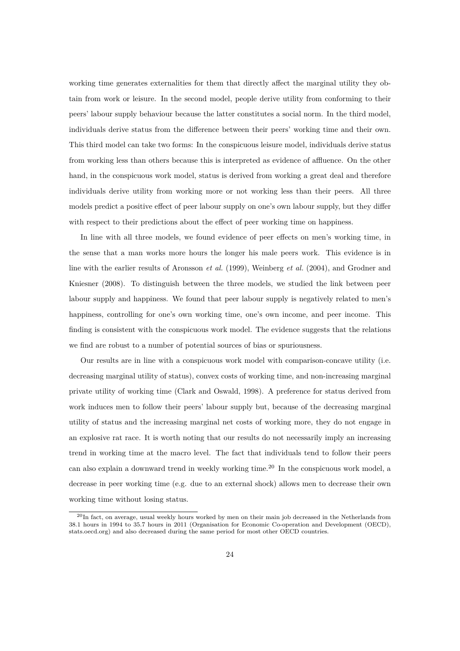working time generates externalities for them that directly affect the marginal utility they obtain from work or leisure. In the second model, people derive utility from conforming to their peers' labour supply behaviour because the latter constitutes a social norm. In the third model, individuals derive status from the difference between their peers' working time and their own. This third model can take two forms: In the conspicuous leisure model, individuals derive status from working less than others because this is interpreted as evidence of affluence. On the other hand, in the conspicuous work model, status is derived from working a great deal and therefore individuals derive utility from working more or not working less than their peers. All three models predict a positive effect of peer labour supply on one's own labour supply, but they differ with respect to their predictions about the effect of peer working time on happiness.

In line with all three models, we found evidence of peer effects on men's working time, in the sense that a man works more hours the longer his male peers work. This evidence is in line with the earlier results of Aronsson *et al.* (1999), Weinberg *et al.* (2004), and Grodner and Kniesner (2008). To distinguish between the three models, we studied the link between peer labour supply and happiness. We found that peer labour supply is negatively related to men's happiness, controlling for one's own working time, one's own income, and peer income. This finding is consistent with the conspicuous work model. The evidence suggests that the relations we find are robust to a number of potential sources of bias or spuriousness.

Our results are in line with a conspicuous work model with comparison-concave utility (i.e. decreasing marginal utility of status), convex costs of working time, and non-increasing marginal private utility of working time (Clark and Oswald, 1998). A preference for status derived from work induces men to follow their peers' labour supply but, because of the decreasing marginal utility of status and the increasing marginal net costs of working more, they do not engage in an explosive rat race. It is worth noting that our results do not necessarily imply an increasing trend in working time at the macro level. The fact that individuals tend to follow their peers can also explain a downward trend in weekly working time.<sup>20</sup> In the conspicuous work model, a decrease in peer working time (e.g. due to an external shock) allows men to decrease their own working time without losing status.

<sup>20</sup>In fact, on average, usual weekly hours worked by men on their main job decreased in the Netherlands from 38.1 hours in 1994 to 35.7 hours in 2011 (Organisation for Economic Co-operation and Development (OECD), stats.oecd.org) and also decreased during the same period for most other OECD countries.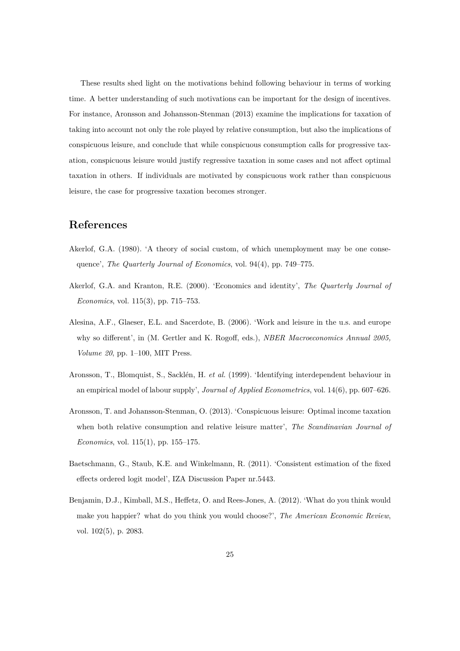These results shed light on the motivations behind following behaviour in terms of working time. A better understanding of such motivations can be important for the design of incentives. For instance, Aronsson and Johansson-Stenman (2013) examine the implications for taxation of taking into account not only the role played by relative consumption, but also the implications of conspicuous leisure, and conclude that while conspicuous consumption calls for progressive taxation, conspicuous leisure would justify regressive taxation in some cases and not affect optimal taxation in others. If individuals are motivated by conspicuous work rather than conspicuous leisure, the case for progressive taxation becomes stronger.

### **References**

- Akerlof, G.A. (1980). 'A theory of social custom, of which unemployment may be one consequence', *The Quarterly Journal of Economics*, vol. 94(4), pp. 749–775.
- Akerlof, G.A. and Kranton, R.E. (2000). 'Economics and identity', *The Quarterly Journal of Economics*, vol. 115(3), pp. 715–753.
- Alesina, A.F., Glaeser, E.L. and Sacerdote, B. (2006). 'Work and leisure in the u.s. and europe why so different', in (M. Gertler and K. Rogoff, eds.), *NBER Macroeconomics Annual 2005, Volume 20*, pp. 1–100, MIT Press.
- Aronsson, T., Blomquist, S., Sacklén, H. *et al.* (1999). 'Identifying interdependent behaviour in an empirical model of labour supply', *Journal of Applied Econometrics*, vol. 14(6), pp. 607–626.
- Aronsson, T. and Johansson-Stenman, O. (2013). 'Conspicuous leisure: Optimal income taxation when both relative consumption and relative leisure matter', *The Scandinavian Journal of Economics*, vol. 115(1), pp. 155–175.
- Baetschmann, G., Staub, K.E. and Winkelmann, R. (2011). 'Consistent estimation of the fixed effects ordered logit model', IZA Discussion Paper nr.5443.
- Benjamin, D.J., Kimball, M.S., Heffetz, O. and Rees-Jones, A. (2012). 'What do you think would make you happier? what do you think you would choose?', *The American Economic Review*, vol. 102(5), p. 2083.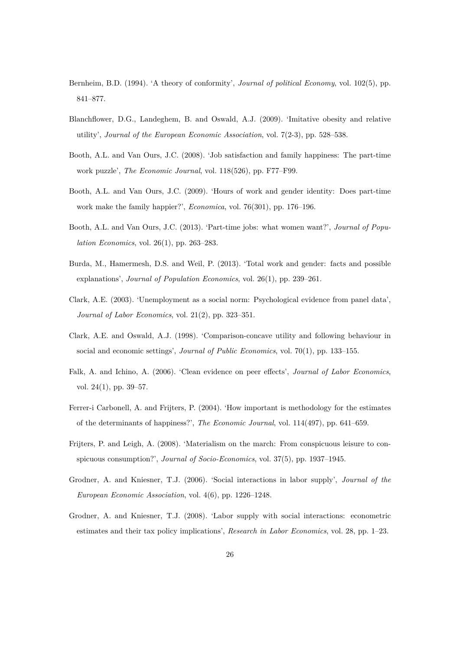- Bernheim, B.D. (1994). 'A theory of conformity', *Journal of political Economy*, vol. 102(5), pp. 841–877.
- Blanchflower, D.G., Landeghem, B. and Oswald, A.J. (2009). 'Imitative obesity and relative utility', *Journal of the European Economic Association*, vol. 7(2-3), pp. 528–538.
- Booth, A.L. and Van Ours, J.C. (2008). 'Job satisfaction and family happiness: The part-time work puzzle', *The Economic Journal*, vol. 118(526), pp. F77–F99.
- Booth, A.L. and Van Ours, J.C. (2009). 'Hours of work and gender identity: Does part-time work make the family happier?', *Economica*, vol. 76(301), pp. 176–196.
- Booth, A.L. and Van Ours, J.C. (2013). 'Part-time jobs: what women want?', *Journal of Population Economics*, vol. 26(1), pp. 263–283.
- Burda, M., Hamermesh, D.S. and Weil, P. (2013). 'Total work and gender: facts and possible explanations', *Journal of Population Economics*, vol. 26(1), pp. 239–261.
- Clark, A.E. (2003). 'Unemployment as a social norm: Psychological evidence from panel data', *Journal of Labor Economics*, vol. 21(2), pp. 323–351.
- Clark, A.E. and Oswald, A.J. (1998). 'Comparison-concave utility and following behaviour in social and economic settings', *Journal of Public Economics*, vol. 70(1), pp. 133–155.
- Falk, A. and Ichino, A. (2006). 'Clean evidence on peer effects', *Journal of Labor Economics*, vol. 24(1), pp. 39–57.
- Ferrer-i Carbonell, A. and Frijters, P. (2004). 'How important is methodology for the estimates of the determinants of happiness?', *The Economic Journal*, vol. 114(497), pp. 641–659.
- Frijters, P. and Leigh, A. (2008). 'Materialism on the march: From conspicuous leisure to conspicuous consumption?', *Journal of Socio-Economics*, vol. 37(5), pp. 1937–1945.
- Grodner, A. and Kniesner, T.J. (2006). 'Social interactions in labor supply', *Journal of the European Economic Association*, vol. 4(6), pp. 1226–1248.
- Grodner, A. and Kniesner, T.J. (2008). 'Labor supply with social interactions: econometric estimates and their tax policy implications', *Research in Labor Economics*, vol. 28, pp. 1–23.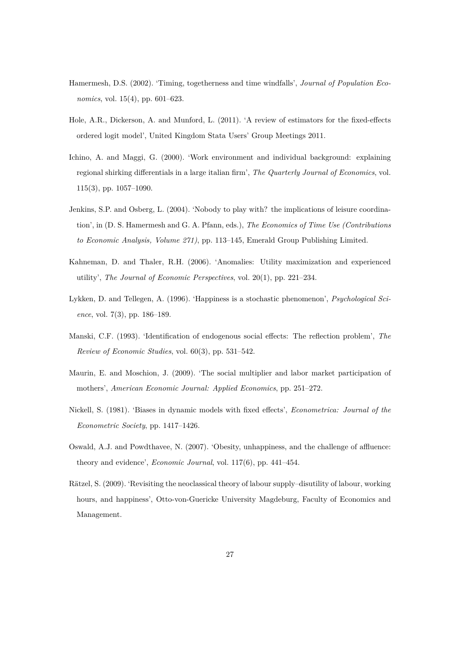- Hamermesh, D.S. (2002). 'Timing, togetherness and time windfalls', *Journal of Population Economics*, vol. 15(4), pp. 601–623.
- Hole, A.R., Dickerson, A. and Munford, L. (2011). 'A review of estimators for the fixed-effects ordered logit model', United Kingdom Stata Users' Group Meetings 2011.
- Ichino, A. and Maggi, G. (2000). 'Work environment and individual background: explaining regional shirking differentials in a large italian firm', *The Quarterly Journal of Economics*, vol. 115(3), pp. 1057–1090.
- Jenkins, S.P. and Osberg, L. (2004). 'Nobody to play with? the implications of leisure coordination', in (D. S. Hamermesh and G. A. Pfann, eds.), *The Economics of Time Use (Contributions to Economic Analysis, Volume 271)*, pp. 113–145, Emerald Group Publishing Limited.
- Kahneman, D. and Thaler, R.H. (2006). 'Anomalies: Utility maximization and experienced utility', *The Journal of Economic Perspectives*, vol. 20(1), pp. 221–234.
- Lykken, D. and Tellegen, A. (1996). 'Happiness is a stochastic phenomenon', *Psychological Science*, vol. 7(3), pp. 186–189.
- Manski, C.F. (1993). 'Identification of endogenous social effects: The reflection problem', *The Review of Economic Studies*, vol. 60(3), pp. 531–542.
- Maurin, E. and Moschion, J. (2009). 'The social multiplier and labor market participation of mothers', *American Economic Journal: Applied Economics*, pp. 251–272.
- Nickell, S. (1981). 'Biases in dynamic models with fixed effects', *Econometrica: Journal of the Econometric Society*, pp. 1417–1426.
- Oswald, A.J. and Powdthavee, N. (2007). 'Obesity, unhappiness, and the challenge of affluence: theory and evidence', *Economic Journal*, vol. 117(6), pp. 441–454.
- Rätzel, S. (2009). 'Revisiting the neoclassical theory of labour supply–disutility of labour, working hours, and happiness', Otto-von-Guericke University Magdeburg, Faculty of Economics and Management.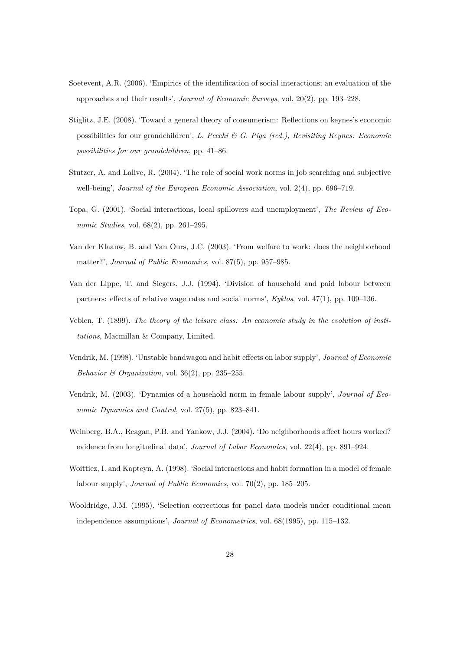- Soetevent, A.R. (2006). 'Empirics of the identification of social interactions; an evaluation of the approaches and their results', *Journal of Economic Surveys*, vol. 20(2), pp. 193–228.
- Stiglitz, J.E. (2008). 'Toward a general theory of consumerism: Reflections on keynes's economic possibilities for our grandchildren', *L. Pecchi & G. Piga (red.), Revisiting Keynes: Economic possibilities for our grandchildren*, pp. 41–86.
- Stutzer, A. and Lalive, R. (2004). 'The role of social work norms in job searching and subjective well-being', *Journal of the European Economic Association*, vol. 2(4), pp. 696–719.
- Topa, G. (2001). 'Social interactions, local spillovers and unemployment', *The Review of Economic Studies*, vol. 68(2), pp. 261–295.
- Van der Klaauw, B. and Van Ours, J.C. (2003). 'From welfare to work: does the neighborhood matter?', *Journal of Public Economics*, vol. 87(5), pp. 957–985.
- Van der Lippe, T. and Siegers, J.J. (1994). 'Division of household and paid labour between partners: effects of relative wage rates and social norms', *Kyklos*, vol. 47(1), pp. 109–136.
- Veblen, T. (1899). *The theory of the leisure class: An economic study in the evolution of institutions*, Macmillan & Company, Limited.
- Vendrik, M. (1998). 'Unstable bandwagon and habit effects on labor supply', *Journal of Economic Behavior & Organization*, vol. 36(2), pp. 235–255.
- Vendrik, M. (2003). 'Dynamics of a household norm in female labour supply', *Journal of Economic Dynamics and Control*, vol. 27(5), pp. 823–841.
- Weinberg, B.A., Reagan, P.B. and Yankow, J.J. (2004). 'Do neighborhoods affect hours worked? evidence from longitudinal data', *Journal of Labor Economics*, vol. 22(4), pp. 891–924.
- Woittiez, I. and Kapteyn, A. (1998). 'Social interactions and habit formation in a model of female labour supply', *Journal of Public Economics*, vol. 70(2), pp. 185–205.
- Wooldridge, J.M. (1995). 'Selection corrections for panel data models under conditional mean independence assumptions', *Journal of Econometrics*, vol. 68(1995), pp. 115–132.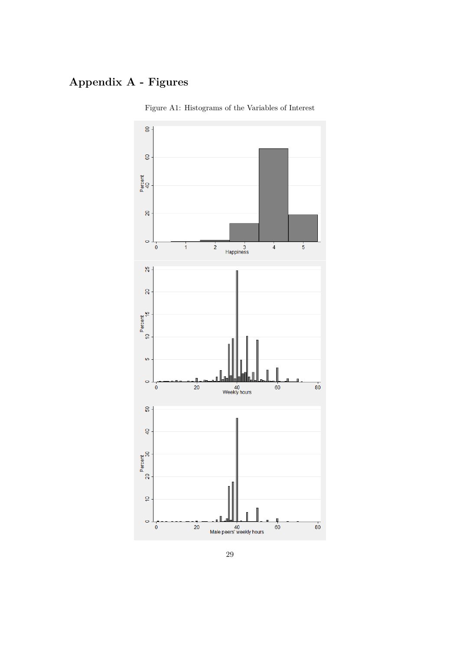## **Appendix A - Figures**



Figure A1: Histograms of the Variables of Interest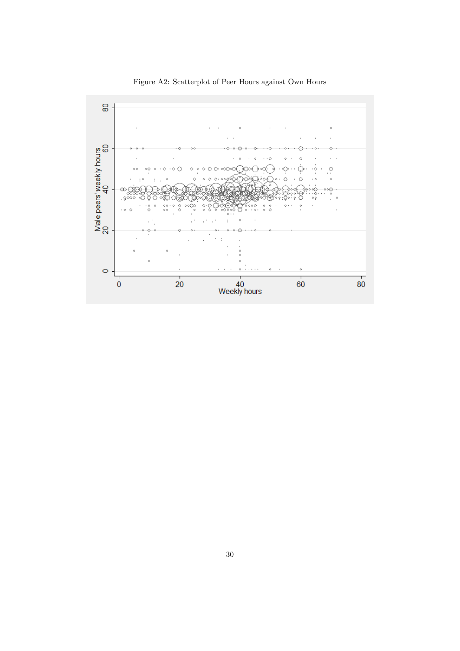

Figure A2: Scatterplot of Peer Hours against Own Hours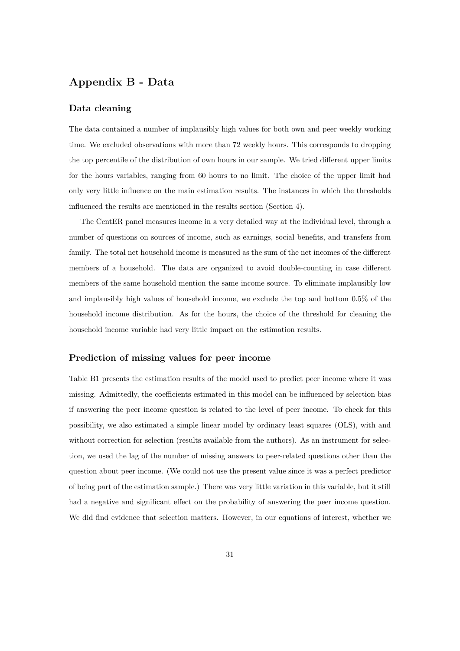### **Appendix B - Data**

#### **Data cleaning**

The data contained a number of implausibly high values for both own and peer weekly working time. We excluded observations with more than 72 weekly hours. This corresponds to dropping the top percentile of the distribution of own hours in our sample. We tried different upper limits for the hours variables, ranging from 60 hours to no limit. The choice of the upper limit had only very little influence on the main estimation results. The instances in which the thresholds influenced the results are mentioned in the results section (Section 4).

The CentER panel measures income in a very detailed way at the individual level, through a number of questions on sources of income, such as earnings, social benefits, and transfers from family. The total net household income is measured as the sum of the net incomes of the different members of a household. The data are organized to avoid double-counting in case different members of the same household mention the same income source. To eliminate implausibly low and implausibly high values of household income, we exclude the top and bottom 0.5% of the household income distribution. As for the hours, the choice of the threshold for cleaning the household income variable had very little impact on the estimation results.

#### **Prediction of missing values for peer income**

Table B1 presents the estimation results of the model used to predict peer income where it was missing. Admittedly, the coefficients estimated in this model can be influenced by selection bias if answering the peer income question is related to the level of peer income. To check for this possibility, we also estimated a simple linear model by ordinary least squares (OLS), with and without correction for selection (results available from the authors). As an instrument for selection, we used the lag of the number of missing answers to peer-related questions other than the question about peer income. (We could not use the present value since it was a perfect predictor of being part of the estimation sample.) There was very little variation in this variable, but it still had a negative and significant effect on the probability of answering the peer income question. We did find evidence that selection matters. However, in our equations of interest, whether we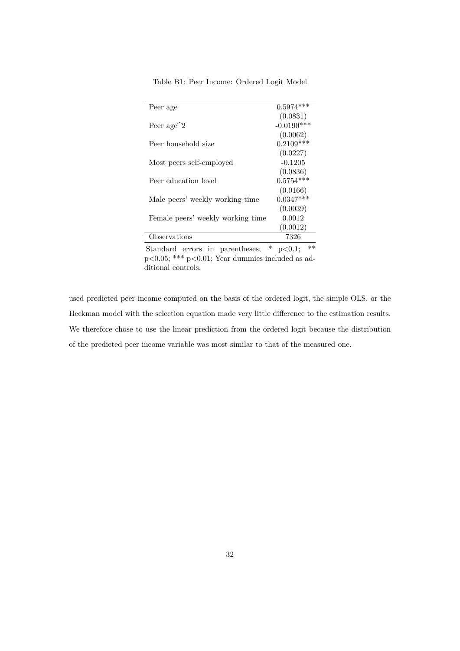| Peer age                                  | $0.5974***$  |
|-------------------------------------------|--------------|
|                                           | (0.0831)     |
| Peer age <sup><math>\hat{ }</math>2</sup> | $-0.0190***$ |
|                                           | (0.0062)     |
| Peer household size                       | $0.2109***$  |
|                                           | (0.0227)     |
| Most peers self-employed                  | $-0.1205$    |
|                                           | (0.0836)     |
| Peer education level                      | $0.5754***$  |
|                                           | (0.0166)     |
| Male peers' weekly working time           | $0.0347***$  |
|                                           | (0.0039)     |
| Female peers' weekly working time         | 0.0012       |
|                                           | (0.0012)     |
| bservations                               | 7326         |
|                                           |              |

Table B1: Peer Income: Ordered Logit Model

Standard errors in parentheses;  $*$  p $< 0.1$ ;  $**$ p<0.05; \*\*\* p<0.01; Year dummies included as additional controls.

used predicted peer income computed on the basis of the ordered logit, the simple OLS, or the Heckman model with the selection equation made very little difference to the estimation results. We therefore chose to use the linear prediction from the ordered logit because the distribution of the predicted peer income variable was most similar to that of the measured one.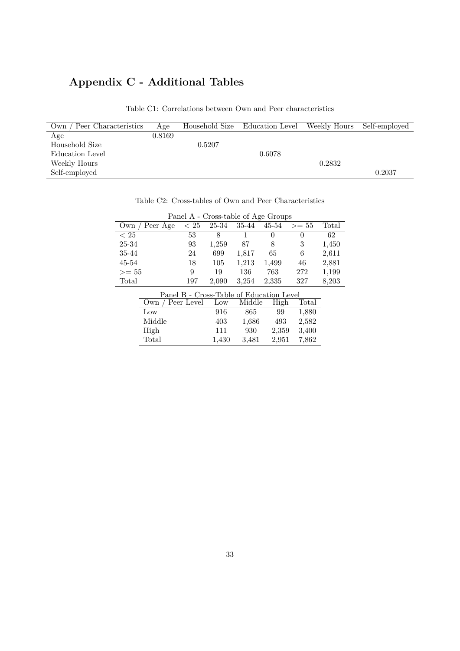## **Appendix C - Additional Tables**

| Own / Peer Characteristics | Age    |        | Household Size Education Level | Weekly Hours | Self-employed |
|----------------------------|--------|--------|--------------------------------|--------------|---------------|
| Age                        | 0.8169 |        |                                |              |               |
| Household Size             |        | 0.5207 |                                |              |               |
| Education Level            |        |        | 0.6078                         |              |               |
| Weekly Hours               |        |        |                                | 0.2832       |               |
| Self-employed              |        |        |                                |              | 0.2037        |
|                            |        |        |                                |              |               |

Table C1: Correlations between Own and Peer characteristics

| Panel A - Cross-table of Age Groups |                  |      |       |                                          |                  |         |       |
|-------------------------------------|------------------|------|-------|------------------------------------------|------------------|---------|-------|
| Own                                 | Peer Age         | < 25 | 25-34 | 35-44                                    | $45 - 54$        | $>= 55$ | Total |
| < 25                                |                  | 53   | 8     | 1                                        | $\left( \right)$ | 0       | 62    |
| 25-34                               |                  | 93   | 1,259 | 87                                       | 8                | 3       | 1,450 |
| 35-44                               |                  | 24   | 699   | 1,817                                    | 65               | 6       | 2,611 |
| 45-54                               |                  | 18   | 105   | 1,213                                    | 1,499            | 46      | 2,881 |
| $>= 55$                             |                  | 9    | 19    | 136                                      | 763              | 272     | 1,199 |
| Total                               |                  | 197  | 2,090 | 3.254                                    | 2,335            | 327     | 8,203 |
|                                     |                  |      |       | Panel B - Cross-Table of Education Level |                  |         |       |
|                                     | Own / Peer Level |      | Low   | Middle                                   | High             | Total   |       |
|                                     | Low              |      | 916   | 865                                      | 99               | 1,880   |       |
|                                     | Middle           |      | 403   | 1,686                                    | 493              | 2,582   |       |
|                                     | High             |      | 111   | 930                                      | 2,359            | 3,400   |       |

Total 1,430 3,481 2,951 7,862

Table C2: Cross-tables of Own and Peer Characteristics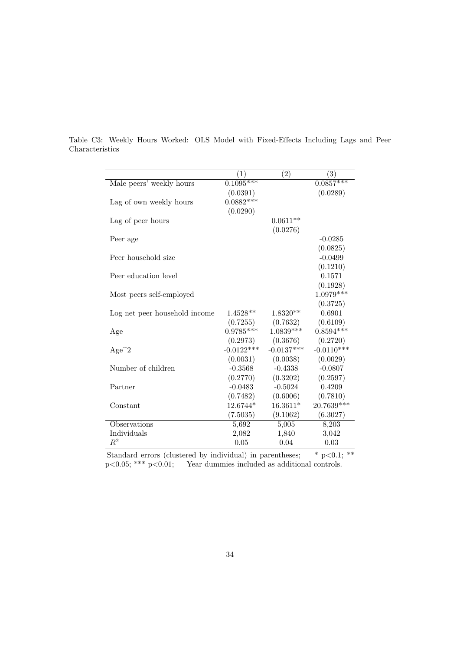|                               | $\left(1\right)$ | $\left( 2\right)$ | $\left( 3\right)$ |
|-------------------------------|------------------|-------------------|-------------------|
| Male peers' weekly hours      | $0.1095***$      |                   | $0.0857***$       |
|                               | (0.0391)         |                   | (0.0289)          |
| Lag of own weekly hours       | $0.0882***$      |                   |                   |
|                               | (0.0290)         |                   |                   |
| Lag of peer hours             |                  | $0.0611**$        |                   |
|                               |                  | (0.0276)          |                   |
| Peer age                      |                  |                   | $-0.0285$         |
|                               |                  |                   | (0.0825)          |
| Peer household size           |                  |                   | $-0.0499$         |
|                               |                  |                   | (0.1210)          |
| Peer education level          |                  |                   | 0.1571            |
|                               |                  |                   | (0.1928)          |
| Most peers self-employed      |                  |                   | $1.0979***$       |
|                               |                  |                   | (0.3725)          |
| Log net peer household income | $1.4528**$       | $1.8320**$        | 0.6901            |
|                               | (0.7255)         | (0.7632)          | (0.6109)          |
| Age                           | $0.9785***$      | $1.0839***$       | $0.8594***$       |
|                               | (0.2973)         | (0.3676)          | (0.2720)          |
| $Age^2$                       | $-0.0122***$     | $-0.0137***$      | $-0.0110***$      |
|                               | (0.0031)         | (0.0038)          | (0.0029)          |
| Number of children            | $-0.3568$        | $-0.4338$         | $-0.0807$         |
|                               | (0.2770)         | (0.3202)          | (0.2597)          |
| Partner                       | $-0.0483$        | $-0.5024$         | 0.4209            |
|                               | (0.7482)         | (0.6006)          | (0.7810)          |
| Constant                      | 12.6744*         | $16.3611*$        | 20.7639***        |
|                               | (7.5035)         | (9.1062)          | (6.3027)          |
| Observations                  | 5,692            | 5,005             | 8,203             |
| Individuals                   | 2,082            | 1,840             | 3,042             |
| $R^2$                         | 0.05             | 0.04              | 0.03              |

Table C3: Weekly Hours Worked: OLS Model with Fixed-Effects Including Lags and Peer Characteristics

Standard errors (clustered by individual) in parentheses;  $* p < 0.1; **$ p<0.05; \*\*\* p<0.01; Year dummies included as additional controls.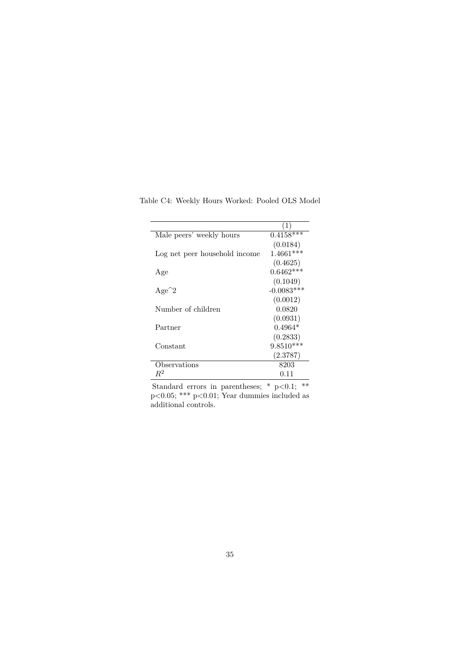| Male peers' weekly hours      | $0.4158***$  |
|-------------------------------|--------------|
|                               | (0.0184)     |
| Log net peer household income | $1.4661***$  |
|                               | (0.4625)     |
| Age                           | $0.6462***$  |
|                               | (0.1049)     |
| $Age^2$                       | $-0.0083***$ |
|                               | (0.0012)     |
| Number of children            | 0.0820       |
|                               | (0.0931)     |
| Partner                       | $0.4964*$    |
|                               | (0.2833)     |
| Constant                      | $9.8510***$  |
|                               | (2.3787)     |
| Observations                  | 8203         |
| $\,R^2$                       | 0.11         |

Table C4: Weekly Hours Worked: Pooled OLS Model

Standard errors in parentheses; \* p<0.1; \*\* p<0.05; \*\*\* p<0.01; Year dummies included as additional controls.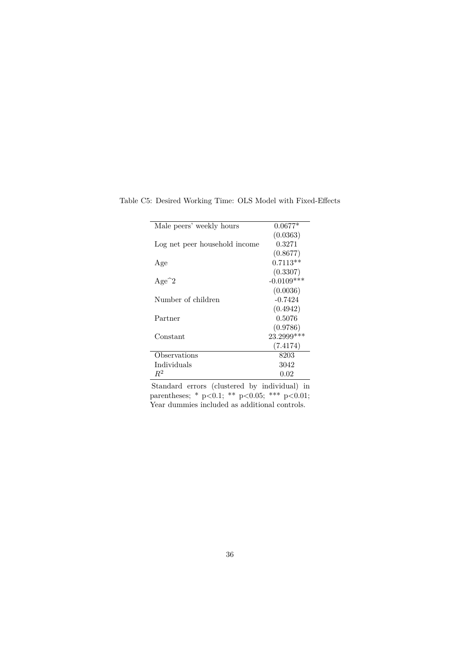| Male peers' weekly hours      | $0.0677*$    |
|-------------------------------|--------------|
|                               | (0.0363)     |
| Log net peer household income | 0.3271       |
|                               | (0.8677)     |
| Age                           | $0.7113**$   |
|                               | (0.3307)     |
| $Age^2$                       | $-0.0109***$ |
|                               | (0.0036)     |
| Number of children            | $-0.7424$    |
|                               | (0.4942)     |
| Partner                       | 0.5076       |
|                               | (0.9786)     |
| Constant                      | 23.2999***   |
|                               | (7.4174)     |
| Observations                  | 8203         |
| Individuals                   | 3042         |
| $R^2$                         | 0.02         |

Table C5: Desired Working Time: OLS Model with Fixed-Effects

Standard errors (clustered by individual) in parentheses; \* p<0.1; \*\* p<0.05; \*\*\* p<0.01; Year dummies included as additional controls.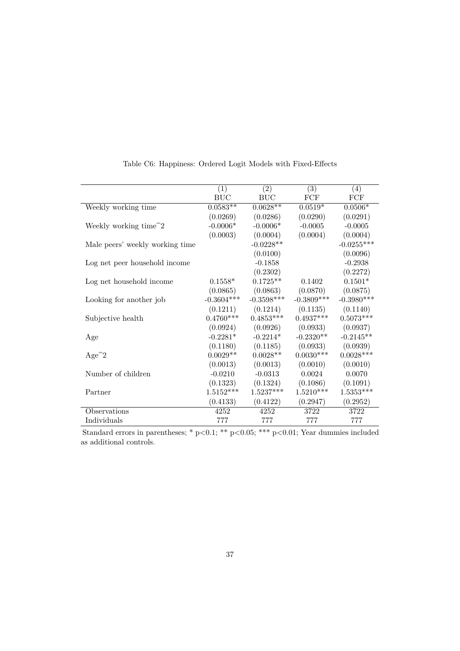|                                  | (1)          | (2)          | (3)          | (4)          |
|----------------------------------|--------------|--------------|--------------|--------------|
|                                  | <b>BUC</b>   | <b>BUC</b>   | FCF          | FCF          |
| Weekly working time              | $0.0583**$   | $0.0628**$   | $0.0519*$    | $0.0506*$    |
|                                  | (0.0269)     | (0.0286)     | (0.0290)     | (0.0291)     |
| Weekly working time <sup>2</sup> | $-0.0006*$   | $-0.0006*$   | $-0.0005$    | $-0.0005$    |
|                                  | (0.0003)     | (0.0004)     | (0.0004)     | (0.0004)     |
| Male peers' weekly working time  |              | $-0.0228**$  |              | $-0.0255***$ |
|                                  |              | (0.0100)     |              | (0.0096)     |
| Log net peer household income    |              | $-0.1858$    |              | $-0.2938$    |
|                                  |              | (0.2302)     |              | (0.2272)     |
| Log net household income         | $0.1558*$    | $0.1725**$   | 0.1402       | $0.1501*$    |
|                                  | (0.0865)     | (0.0863)     | (0.0870)     | (0.0875)     |
| Looking for another job          | $-0.3604***$ | $-0.3598***$ | $-0.3809***$ | $-0.3980***$ |
|                                  | (0.1211)     | (0.1214)     | (0.1135)     | (0.1140)     |
| Subjective health                | $0.4760***$  | $0.4853***$  | $0.4937***$  | $0.5073***$  |
|                                  | (0.0924)     | (0.0926)     | (0.0933)     | (0.0937)     |
| Age                              | $-0.2281*$   | $-0.2214*$   | $-0.2320**$  | $-0.2145**$  |
|                                  | (0.1180)     | (0.1185)     | (0.0933)     | (0.0939)     |
| $Age^2$                          | $0.0029**$   | $0.0028**$   | $0.0030***$  | $0.0028***$  |
|                                  | (0.0013)     | (0.0013)     | (0.0010)     | (0.0010)     |
| Number of children               | $-0.0210$    | $-0.0313$    | 0.0024       | 0.0070       |
|                                  | (0.1323)     | (0.1324)     | (0.1086)     | (0.1091)     |
| Partner                          | $1.5152***$  | $1.5237***$  | $1.5210***$  | $1.5353***$  |
|                                  | (0.4133)     | (0.4122)     | (0.2947)     | (0.2952)     |
| Observations                     | 4252         | 4252         | 3722         | 3722         |
| Individuals                      | 777          | 777          | 777          | 777          |
|                                  |              |              |              |              |

Table C6: Happiness: Ordered Logit Models with Fixed-Effects

Standard errors in parentheses; \* p<0.1; \*\* p<0.05; \*\*\* p<0.01; Year dummies included as additional controls.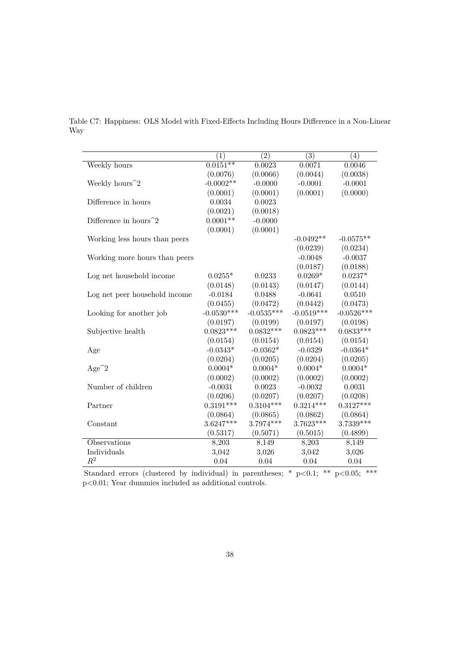|                                 | (1)          | (2)          | (3)          | (4)          |
|---------------------------------|--------------|--------------|--------------|--------------|
| Weekly hours                    | $0.0151**$   | 0.0023       | 0.0071       | 0.0046       |
|                                 | (0.0076)     | (0.0066)     | (0.0044)     | (0.0038)     |
| Weekly hours <sup>2</sup>       | $-0.0002**$  | $-0.0000$    | $-0.0001$    | $-0.0001$    |
|                                 | (0.0001)     | (0.0001)     | (0.0001)     | (0.0000)     |
| Difference in hours             | 0.0034       | 0.0023       |              |              |
|                                 | (0.0021)     | (0.0018)     |              |              |
| Difference in hours $\hat{ }$ 2 | $0.0001**$   | $-0.0000$    |              |              |
|                                 | (0.0001)     | (0.0001)     |              |              |
| Working less hours than peers   |              |              | $-0.0492**$  | $-0.0575**$  |
|                                 |              |              | (0.0239)     | (0.0234)     |
| Working more hours than peers   |              |              | $-0.0048$    | $-0.0037$    |
|                                 |              |              | (0.0187)     | (0.0188)     |
| Log net household income        | $0.0255*$    | 0.0233       | $0.0269*$    | $0.0237*$    |
|                                 | (0.0148)     | (0.0143)     | (0.0147)     | (0.0144)     |
| Log net peer household income   | $-0.0184$    | 0.0488       | $-0.0641$    | 0.0510       |
|                                 | (0.0455)     | (0.0472)     | (0.0442)     | (0.0473)     |
| Looking for another job         | $-0.0530***$ | $-0.0535***$ | $-0.0519***$ | $-0.0526***$ |
|                                 | (0.0197)     | (0.0199)     | (0.0197)     | (0.0198)     |
| Subjective health               | $0.0823***$  | $0.0832***$  | $0.0823***$  | $0.0833***$  |
|                                 | (0.0154)     | (0.0154)     | (0.0154)     | (0.0154)     |
| Age                             | $-0.0343*$   | $-0.0362*$   | $-0.0329$    | $-0.0364*$   |
|                                 | (0.0204)     | (0.0205)     | (0.0204)     | (0.0205)     |
| $Age^2$                         | $0.0004*$    | $0.0004*$    | $0.0004*$    | $0.0004*$    |
|                                 | (0.0002)     | (0.0002)     | (0.0002)     | (0.0002)     |
| Number of children              | $-0.0031$    | 0.0023       | $-0.0032$    | 0.0031       |
|                                 | (0.0206)     | (0.0207)     | (0.0207)     | (0.0208)     |
| Partner                         | $0.3191***$  | $0.3104***$  | $0.3214***$  | $0.3127***$  |
|                                 | (0.0864)     | (0.0865)     | (0.0862)     | (0.0864)     |
| Constant                        | $3.6247***$  | 3.7974***    | $3.7623***$  | $3.7339***$  |
|                                 | (0.5317)     | (0.5071)     | (0.5015)     | (0.4899)     |
| Observations                    | 8,203        | 8,149        | 8,203        | 8,149        |
| Individuals                     | 3,042        | 3,026        | 3,042        | 3,026        |
| $R^2$                           | 0.04         | 0.04         | 0.04         | 0.04         |

Table C7: Happiness: OLS Model with Fixed-Effects Including Hours Difference in a Non-Linear Way

Standard errors (clustered by individual) in parentheses; \*  $p<0.1$ ; \*\*  $p<0.05$ ; \*\*\* p<0.01; Year dummies included as additional controls.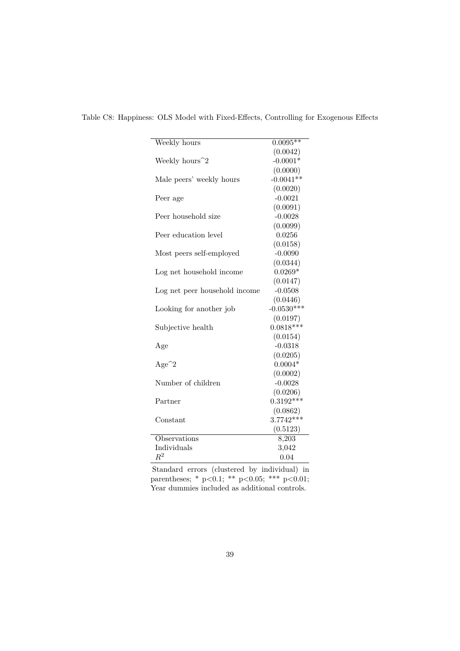| Weekly hours                  | $0.0095***$        |
|-------------------------------|--------------------|
|                               | (0.0042)           |
| Weekly hours <sup>2</sup>     | $-0.0001*$         |
|                               | (0.0000)           |
| Male peers' weekly hours      | $-0.0041**$        |
|                               | (0.0020)           |
| Peer age                      | $-0.0021$          |
|                               | (0.0091)           |
| Peer household size           | $-0.0028$          |
|                               | (0.0099)           |
| Peer education level          | 0.0256             |
|                               | (0.0158)           |
| Most peers self-employed      | $-0.0090$          |
|                               | (0.0344)           |
| Log net household income      | $0.0269*$          |
|                               | (0.0147)           |
| Log net peer household income | $-0.0508$          |
|                               | (0.0446)           |
| Looking for another job       | $-0.0530***$       |
|                               | (0.0197)           |
| Subjective health             | $0.0818***$        |
|                               | (0.0154)           |
| Age                           | $-0.0318$          |
|                               | (0.0205)           |
| $Age^2$                       | $0.0004*$          |
|                               | (0.0002)           |
| Number of children            | $-0.0028$          |
|                               | (0.0206)           |
| Partner                       | $0.3192***$        |
|                               | (0.0862)           |
| Constant                      | $3.7742***$        |
|                               | (0.5123)           |
| Observations                  | $\overline{8,20}3$ |
| Individuals                   | 3,042              |
| $R^2$                         | 0.04               |

Table C8: Happiness: OLS Model with Fixed-Effects, Controlling for Exogenous Effects

Standard errors (clustered by individual) in parentheses; \* p<0.1; \*\* p<0.05; \*\*\* p<0.01; Year dummies included as additional controls.